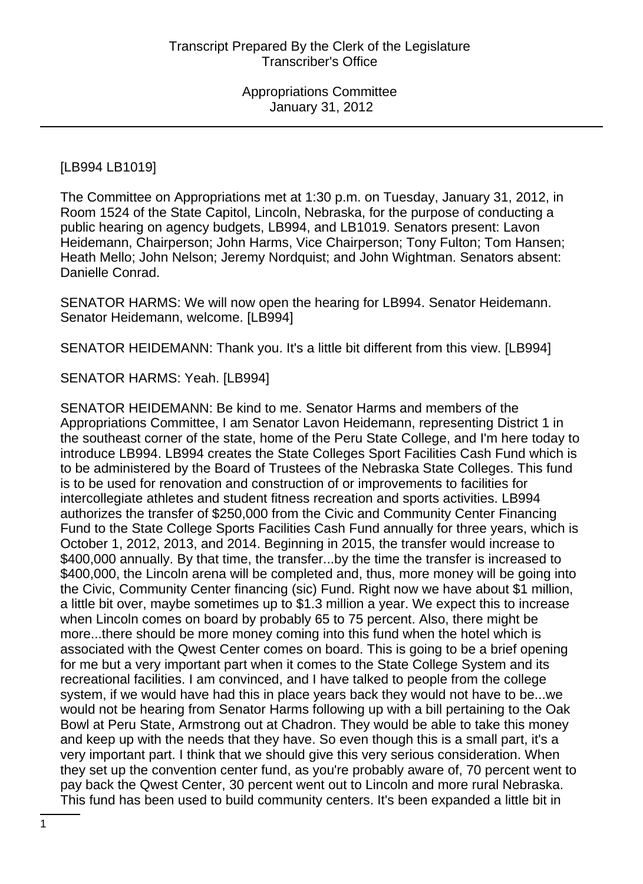### [LB994 LB1019]

The Committee on Appropriations met at 1:30 p.m. on Tuesday, January 31, 2012, in Room 1524 of the State Capitol, Lincoln, Nebraska, for the purpose of conducting a public hearing on agency budgets, LB994, and LB1019. Senators present: Lavon Heidemann, Chairperson; John Harms, Vice Chairperson; Tony Fulton; Tom Hansen; Heath Mello; John Nelson; Jeremy Nordquist; and John Wightman. Senators absent: Danielle Conrad.

SENATOR HARMS: We will now open the hearing for LB994. Senator Heidemann. Senator Heidemann, welcome. [LB994]

SENATOR HEIDEMANN: Thank you. It's a little bit different from this view. [LB994]

SENATOR HARMS: Yeah. [LB994]

SENATOR HEIDEMANN: Be kind to me. Senator Harms and members of the Appropriations Committee, I am Senator Lavon Heidemann, representing District 1 in the southeast corner of the state, home of the Peru State College, and I'm here today to introduce LB994. LB994 creates the State Colleges Sport Facilities Cash Fund which is to be administered by the Board of Trustees of the Nebraska State Colleges. This fund is to be used for renovation and construction of or improvements to facilities for intercollegiate athletes and student fitness recreation and sports activities. LB994 authorizes the transfer of \$250,000 from the Civic and Community Center Financing Fund to the State College Sports Facilities Cash Fund annually for three years, which is October 1, 2012, 2013, and 2014. Beginning in 2015, the transfer would increase to \$400,000 annually. By that time, the transfer...by the time the transfer is increased to \$400,000, the Lincoln arena will be completed and, thus, more money will be going into the Civic, Community Center financing (sic) Fund. Right now we have about \$1 million, a little bit over, maybe sometimes up to \$1.3 million a year. We expect this to increase when Lincoln comes on board by probably 65 to 75 percent. Also, there might be more...there should be more money coming into this fund when the hotel which is associated with the Qwest Center comes on board. This is going to be a brief opening for me but a very important part when it comes to the State College System and its recreational facilities. I am convinced, and I have talked to people from the college system, if we would have had this in place years back they would not have to be...we would not be hearing from Senator Harms following up with a bill pertaining to the Oak Bowl at Peru State, Armstrong out at Chadron. They would be able to take this money and keep up with the needs that they have. So even though this is a small part, it's a very important part. I think that we should give this very serious consideration. When they set up the convention center fund, as you're probably aware of, 70 percent went to pay back the Qwest Center, 30 percent went out to Lincoln and more rural Nebraska. This fund has been used to build community centers. It's been expanded a little bit in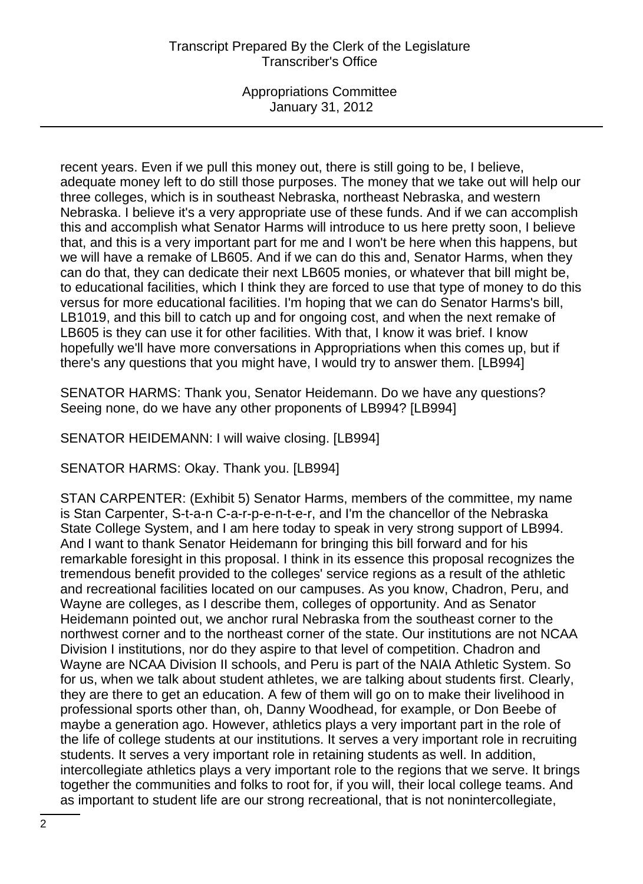Appropriations Committee January 31, 2012

recent years. Even if we pull this money out, there is still going to be, I believe, adequate money left to do still those purposes. The money that we take out will help our three colleges, which is in southeast Nebraska, northeast Nebraska, and western Nebraska. I believe it's a very appropriate use of these funds. And if we can accomplish this and accomplish what Senator Harms will introduce to us here pretty soon, I believe that, and this is a very important part for me and I won't be here when this happens, but we will have a remake of LB605. And if we can do this and, Senator Harms, when they can do that, they can dedicate their next LB605 monies, or whatever that bill might be, to educational facilities, which I think they are forced to use that type of money to do this versus for more educational facilities. I'm hoping that we can do Senator Harms's bill, LB1019, and this bill to catch up and for ongoing cost, and when the next remake of LB605 is they can use it for other facilities. With that, I know it was brief. I know hopefully we'll have more conversations in Appropriations when this comes up, but if there's any questions that you might have, I would try to answer them. [LB994]

SENATOR HARMS: Thank you, Senator Heidemann. Do we have any questions? Seeing none, do we have any other proponents of LB994? [LB994]

SENATOR HEIDEMANN: I will waive closing. [LB994]

SENATOR HARMS: Okay. Thank you. [LB994]

STAN CARPENTER: (Exhibit 5) Senator Harms, members of the committee, my name is Stan Carpenter, S-t-a-n C-a-r-p-e-n-t-e-r, and I'm the chancellor of the Nebraska State College System, and I am here today to speak in very strong support of LB994. And I want to thank Senator Heidemann for bringing this bill forward and for his remarkable foresight in this proposal. I think in its essence this proposal recognizes the tremendous benefit provided to the colleges' service regions as a result of the athletic and recreational facilities located on our campuses. As you know, Chadron, Peru, and Wayne are colleges, as I describe them, colleges of opportunity. And as Senator Heidemann pointed out, we anchor rural Nebraska from the southeast corner to the northwest corner and to the northeast corner of the state. Our institutions are not NCAA Division I institutions, nor do they aspire to that level of competition. Chadron and Wayne are NCAA Division II schools, and Peru is part of the NAIA Athletic System. So for us, when we talk about student athletes, we are talking about students first. Clearly, they are there to get an education. A few of them will go on to make their livelihood in professional sports other than, oh, Danny Woodhead, for example, or Don Beebe of maybe a generation ago. However, athletics plays a very important part in the role of the life of college students at our institutions. It serves a very important role in recruiting students. It serves a very important role in retaining students as well. In addition, intercollegiate athletics plays a very important role to the regions that we serve. It brings together the communities and folks to root for, if you will, their local college teams. And as important to student life are our strong recreational, that is not nonintercollegiate,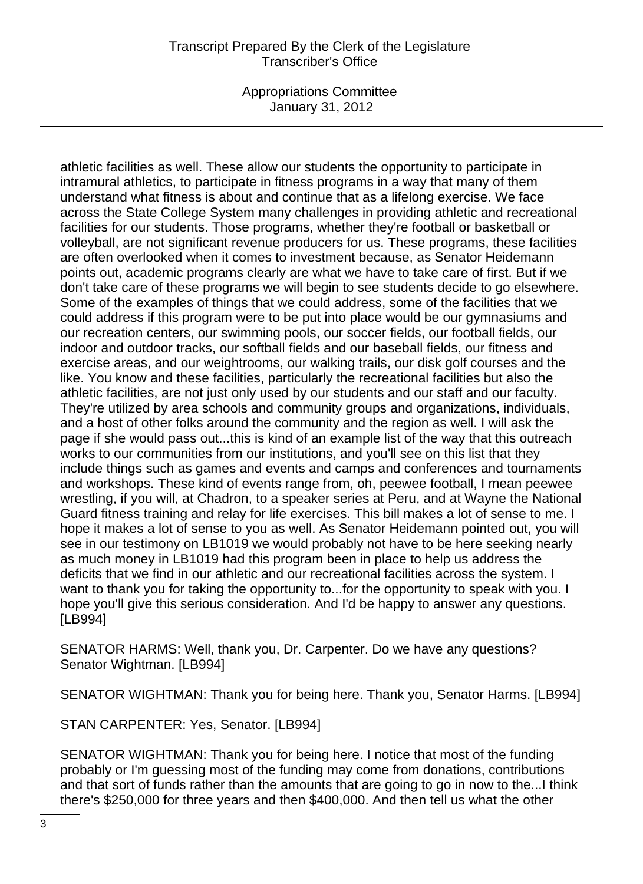Appropriations Committee January 31, 2012

athletic facilities as well. These allow our students the opportunity to participate in intramural athletics, to participate in fitness programs in a way that many of them understand what fitness is about and continue that as a lifelong exercise. We face across the State College System many challenges in providing athletic and recreational facilities for our students. Those programs, whether they're football or basketball or volleyball, are not significant revenue producers for us. These programs, these facilities are often overlooked when it comes to investment because, as Senator Heidemann points out, academic programs clearly are what we have to take care of first. But if we don't take care of these programs we will begin to see students decide to go elsewhere. Some of the examples of things that we could address, some of the facilities that we could address if this program were to be put into place would be our gymnasiums and our recreation centers, our swimming pools, our soccer fields, our football fields, our indoor and outdoor tracks, our softball fields and our baseball fields, our fitness and exercise areas, and our weightrooms, our walking trails, our disk golf courses and the like. You know and these facilities, particularly the recreational facilities but also the athletic facilities, are not just only used by our students and our staff and our faculty. They're utilized by area schools and community groups and organizations, individuals, and a host of other folks around the community and the region as well. I will ask the page if she would pass out...this is kind of an example list of the way that this outreach works to our communities from our institutions, and you'll see on this list that they include things such as games and events and camps and conferences and tournaments and workshops. These kind of events range from, oh, peewee football, I mean peewee wrestling, if you will, at Chadron, to a speaker series at Peru, and at Wayne the National Guard fitness training and relay for life exercises. This bill makes a lot of sense to me. I hope it makes a lot of sense to you as well. As Senator Heidemann pointed out, you will see in our testimony on LB1019 we would probably not have to be here seeking nearly as much money in LB1019 had this program been in place to help us address the deficits that we find in our athletic and our recreational facilities across the system. I want to thank you for taking the opportunity to...for the opportunity to speak with you. I hope you'll give this serious consideration. And I'd be happy to answer any questions. [LB994]

SENATOR HARMS: Well, thank you, Dr. Carpenter. Do we have any questions? Senator Wightman. [LB994]

SENATOR WIGHTMAN: Thank you for being here. Thank you, Senator Harms. [LB994]

STAN CARPENTER: Yes, Senator. [LB994]

SENATOR WIGHTMAN: Thank you for being here. I notice that most of the funding probably or I'm guessing most of the funding may come from donations, contributions and that sort of funds rather than the amounts that are going to go in now to the...I think there's \$250,000 for three years and then \$400,000. And then tell us what the other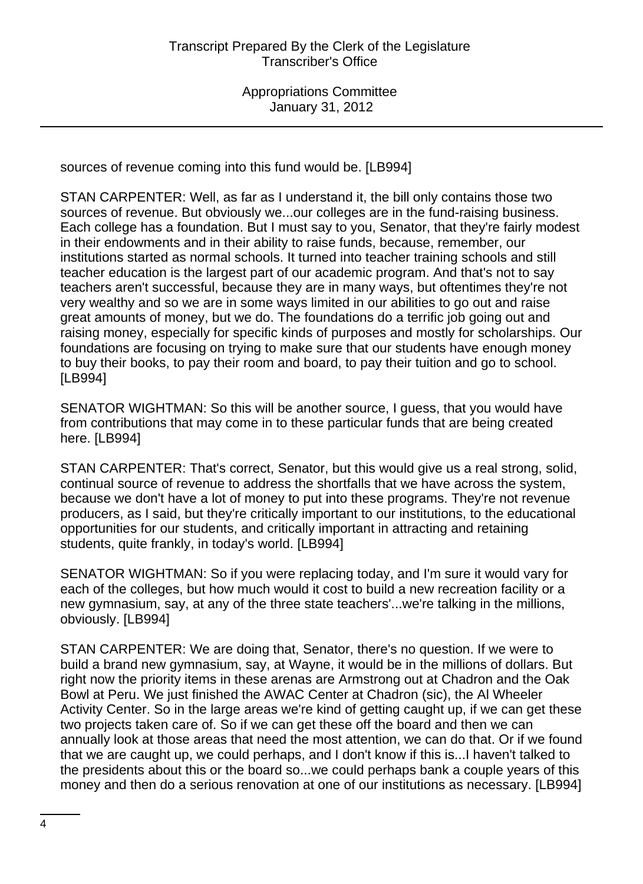sources of revenue coming into this fund would be. [LB994]

STAN CARPENTER: Well, as far as I understand it, the bill only contains those two sources of revenue. But obviously we...our colleges are in the fund-raising business. Each college has a foundation. But I must say to you, Senator, that they're fairly modest in their endowments and in their ability to raise funds, because, remember, our institutions started as normal schools. It turned into teacher training schools and still teacher education is the largest part of our academic program. And that's not to say teachers aren't successful, because they are in many ways, but oftentimes they're not very wealthy and so we are in some ways limited in our abilities to go out and raise great amounts of money, but we do. The foundations do a terrific job going out and raising money, especially for specific kinds of purposes and mostly for scholarships. Our foundations are focusing on trying to make sure that our students have enough money to buy their books, to pay their room and board, to pay their tuition and go to school. [LB994]

SENATOR WIGHTMAN: So this will be another source, I guess, that you would have from contributions that may come in to these particular funds that are being created here. [LB994]

STAN CARPENTER: That's correct, Senator, but this would give us a real strong, solid, continual source of revenue to address the shortfalls that we have across the system, because we don't have a lot of money to put into these programs. They're not revenue producers, as I said, but they're critically important to our institutions, to the educational opportunities for our students, and critically important in attracting and retaining students, quite frankly, in today's world. [LB994]

SENATOR WIGHTMAN: So if you were replacing today, and I'm sure it would vary for each of the colleges, but how much would it cost to build a new recreation facility or a new gymnasium, say, at any of the three state teachers'...we're talking in the millions, obviously. [LB994]

STAN CARPENTER: We are doing that, Senator, there's no question. If we were to build a brand new gymnasium, say, at Wayne, it would be in the millions of dollars. But right now the priority items in these arenas are Armstrong out at Chadron and the Oak Bowl at Peru. We just finished the AWAC Center at Chadron (sic), the Al Wheeler Activity Center. So in the large areas we're kind of getting caught up, if we can get these two projects taken care of. So if we can get these off the board and then we can annually look at those areas that need the most attention, we can do that. Or if we found that we are caught up, we could perhaps, and I don't know if this is...I haven't talked to the presidents about this or the board so...we could perhaps bank a couple years of this money and then do a serious renovation at one of our institutions as necessary. [LB994]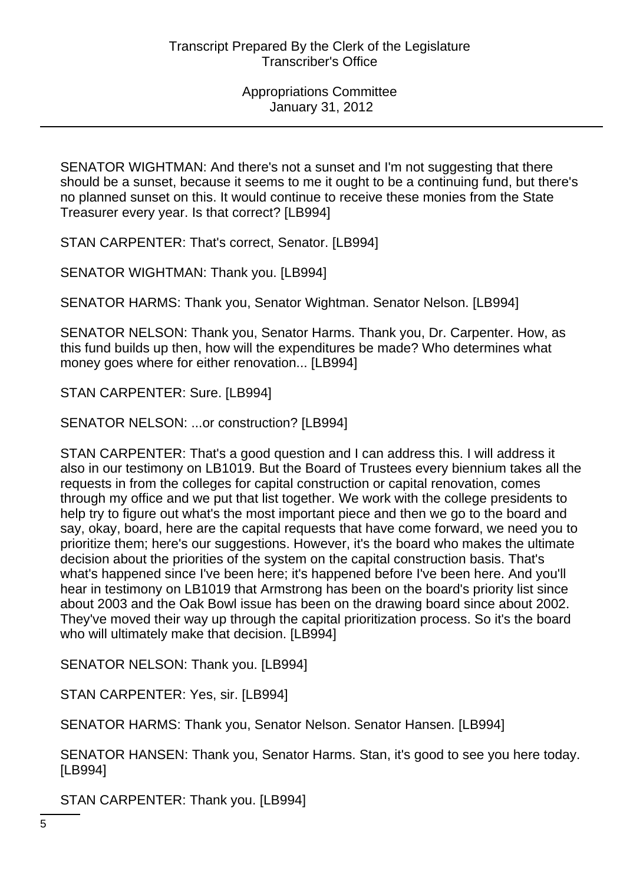SENATOR WIGHTMAN: And there's not a sunset and I'm not suggesting that there should be a sunset, because it seems to me it ought to be a continuing fund, but there's no planned sunset on this. It would continue to receive these monies from the State Treasurer every year. Is that correct? [LB994]

STAN CARPENTER: That's correct, Senator. [LB994]

SENATOR WIGHTMAN: Thank you. [LB994]

SENATOR HARMS: Thank you, Senator Wightman. Senator Nelson. [LB994]

SENATOR NELSON: Thank you, Senator Harms. Thank you, Dr. Carpenter. How, as this fund builds up then, how will the expenditures be made? Who determines what money goes where for either renovation... [LB994]

STAN CARPENTER: Sure. [LB994]

SENATOR NELSON: ...or construction? [LB994]

STAN CARPENTER: That's a good question and I can address this. I will address it also in our testimony on LB1019. But the Board of Trustees every biennium takes all the requests in from the colleges for capital construction or capital renovation, comes through my office and we put that list together. We work with the college presidents to help try to figure out what's the most important piece and then we go to the board and say, okay, board, here are the capital requests that have come forward, we need you to prioritize them; here's our suggestions. However, it's the board who makes the ultimate decision about the priorities of the system on the capital construction basis. That's what's happened since I've been here; it's happened before I've been here. And you'll hear in testimony on LB1019 that Armstrong has been on the board's priority list since about 2003 and the Oak Bowl issue has been on the drawing board since about 2002. They've moved their way up through the capital prioritization process. So it's the board who will ultimately make that decision. [LB994]

SENATOR NELSON: Thank you. [LB994]

STAN CARPENTER: Yes, sir. [LB994]

SENATOR HARMS: Thank you, Senator Nelson. Senator Hansen. [LB994]

SENATOR HANSEN: Thank you, Senator Harms. Stan, it's good to see you here today. [LB994]

STAN CARPENTER: Thank you. [LB994]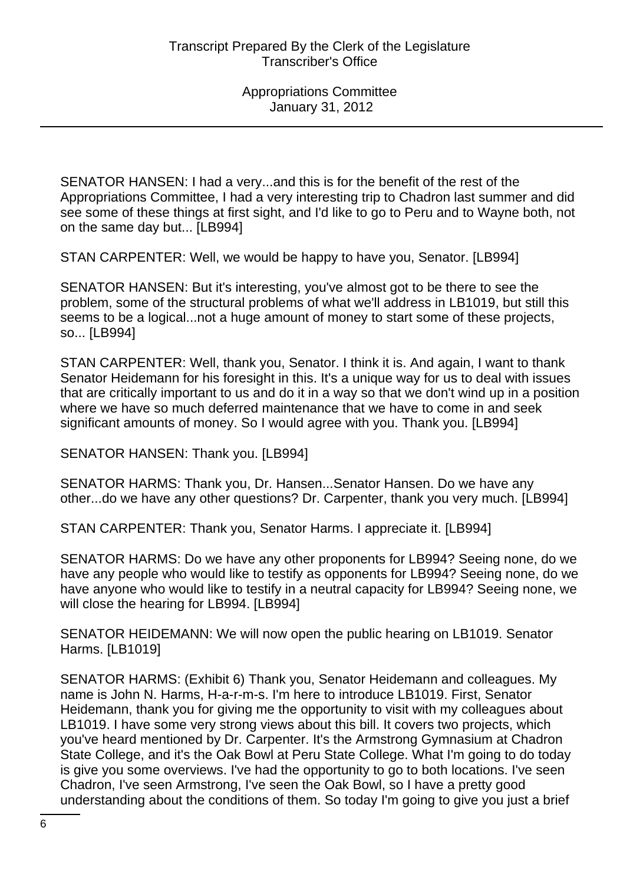SENATOR HANSEN: I had a very...and this is for the benefit of the rest of the Appropriations Committee, I had a very interesting trip to Chadron last summer and did see some of these things at first sight, and I'd like to go to Peru and to Wayne both, not on the same day but... [LB994]

STAN CARPENTER: Well, we would be happy to have you, Senator. [LB994]

SENATOR HANSEN: But it's interesting, you've almost got to be there to see the problem, some of the structural problems of what we'll address in LB1019, but still this seems to be a logical...not a huge amount of money to start some of these projects, so... [LB994]

STAN CARPENTER: Well, thank you, Senator. I think it is. And again, I want to thank Senator Heidemann for his foresight in this. It's a unique way for us to deal with issues that are critically important to us and do it in a way so that we don't wind up in a position where we have so much deferred maintenance that we have to come in and seek significant amounts of money. So I would agree with you. Thank you. [LB994]

SENATOR HANSEN: Thank you. [LB994]

SENATOR HARMS: Thank you, Dr. Hansen...Senator Hansen. Do we have any other...do we have any other questions? Dr. Carpenter, thank you very much. [LB994]

STAN CARPENTER: Thank you, Senator Harms. I appreciate it. [LB994]

SENATOR HARMS: Do we have any other proponents for LB994? Seeing none, do we have any people who would like to testify as opponents for LB994? Seeing none, do we have anyone who would like to testify in a neutral capacity for LB994? Seeing none, we will close the hearing for LB994. [LB994]

SENATOR HEIDEMANN: We will now open the public hearing on LB1019. Senator Harms. [LB1019]

SENATOR HARMS: (Exhibit 6) Thank you, Senator Heidemann and colleagues. My name is John N. Harms, H-a-r-m-s. I'm here to introduce LB1019. First, Senator Heidemann, thank you for giving me the opportunity to visit with my colleagues about LB1019. I have some very strong views about this bill. It covers two projects, which you've heard mentioned by Dr. Carpenter. It's the Armstrong Gymnasium at Chadron State College, and it's the Oak Bowl at Peru State College. What I'm going to do today is give you some overviews. I've had the opportunity to go to both locations. I've seen Chadron, I've seen Armstrong, I've seen the Oak Bowl, so I have a pretty good understanding about the conditions of them. So today I'm going to give you just a brief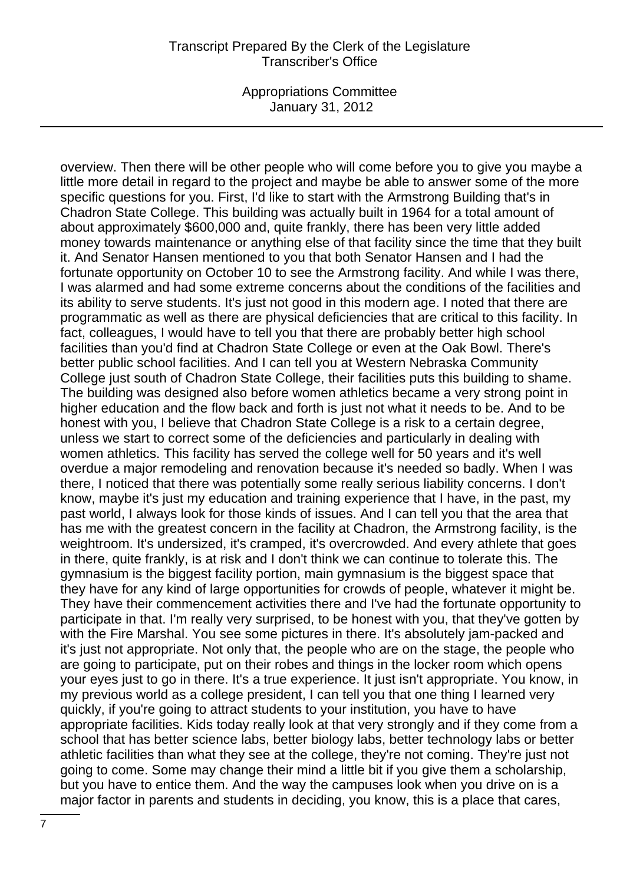Appropriations Committee January 31, 2012

overview. Then there will be other people who will come before you to give you maybe a little more detail in regard to the project and maybe be able to answer some of the more specific questions for you. First, I'd like to start with the Armstrong Building that's in Chadron State College. This building was actually built in 1964 for a total amount of about approximately \$600,000 and, quite frankly, there has been very little added money towards maintenance or anything else of that facility since the time that they built it. And Senator Hansen mentioned to you that both Senator Hansen and I had the fortunate opportunity on October 10 to see the Armstrong facility. And while I was there, I was alarmed and had some extreme concerns about the conditions of the facilities and its ability to serve students. It's just not good in this modern age. I noted that there are programmatic as well as there are physical deficiencies that are critical to this facility. In fact, colleagues, I would have to tell you that there are probably better high school facilities than you'd find at Chadron State College or even at the Oak Bowl. There's better public school facilities. And I can tell you at Western Nebraska Community College just south of Chadron State College, their facilities puts this building to shame. The building was designed also before women athletics became a very strong point in higher education and the flow back and forth is just not what it needs to be. And to be honest with you, I believe that Chadron State College is a risk to a certain degree, unless we start to correct some of the deficiencies and particularly in dealing with women athletics. This facility has served the college well for 50 years and it's well overdue a major remodeling and renovation because it's needed so badly. When I was there, I noticed that there was potentially some really serious liability concerns. I don't know, maybe it's just my education and training experience that I have, in the past, my past world, I always look for those kinds of issues. And I can tell you that the area that has me with the greatest concern in the facility at Chadron, the Armstrong facility, is the weightroom. It's undersized, it's cramped, it's overcrowded. And every athlete that goes in there, quite frankly, is at risk and I don't think we can continue to tolerate this. The gymnasium is the biggest facility portion, main gymnasium is the biggest space that they have for any kind of large opportunities for crowds of people, whatever it might be. They have their commencement activities there and I've had the fortunate opportunity to participate in that. I'm really very surprised, to be honest with you, that they've gotten by with the Fire Marshal. You see some pictures in there. It's absolutely jam-packed and it's just not appropriate. Not only that, the people who are on the stage, the people who are going to participate, put on their robes and things in the locker room which opens your eyes just to go in there. It's a true experience. It just isn't appropriate. You know, in my previous world as a college president, I can tell you that one thing I learned very quickly, if you're going to attract students to your institution, you have to have appropriate facilities. Kids today really look at that very strongly and if they come from a school that has better science labs, better biology labs, better technology labs or better athletic facilities than what they see at the college, they're not coming. They're just not going to come. Some may change their mind a little bit if you give them a scholarship, but you have to entice them. And the way the campuses look when you drive on is a major factor in parents and students in deciding, you know, this is a place that cares,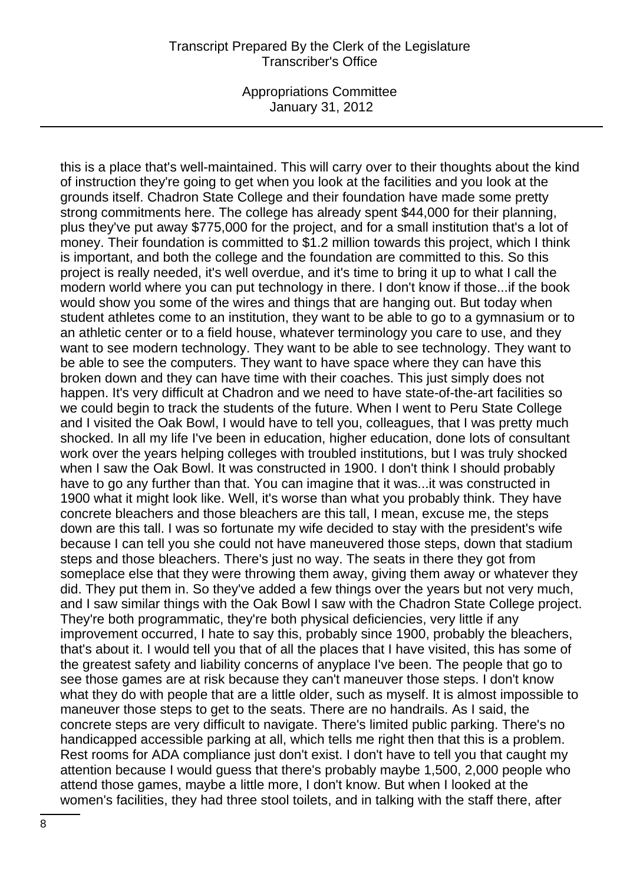Appropriations Committee January 31, 2012

this is a place that's well-maintained. This will carry over to their thoughts about the kind of instruction they're going to get when you look at the facilities and you look at the grounds itself. Chadron State College and their foundation have made some pretty strong commitments here. The college has already spent \$44,000 for their planning, plus they've put away \$775,000 for the project, and for a small institution that's a lot of money. Their foundation is committed to \$1.2 million towards this project, which I think is important, and both the college and the foundation are committed to this. So this project is really needed, it's well overdue, and it's time to bring it up to what I call the modern world where you can put technology in there. I don't know if those...if the book would show you some of the wires and things that are hanging out. But today when student athletes come to an institution, they want to be able to go to a gymnasium or to an athletic center or to a field house, whatever terminology you care to use, and they want to see modern technology. They want to be able to see technology. They want to be able to see the computers. They want to have space where they can have this broken down and they can have time with their coaches. This just simply does not happen. It's very difficult at Chadron and we need to have state-of-the-art facilities so we could begin to track the students of the future. When I went to Peru State College and I visited the Oak Bowl, I would have to tell you, colleagues, that I was pretty much shocked. In all my life I've been in education, higher education, done lots of consultant work over the years helping colleges with troubled institutions, but I was truly shocked when I saw the Oak Bowl. It was constructed in 1900. I don't think I should probably have to go any further than that. You can imagine that it was...it was constructed in 1900 what it might look like. Well, it's worse than what you probably think. They have concrete bleachers and those bleachers are this tall, I mean, excuse me, the steps down are this tall. I was so fortunate my wife decided to stay with the president's wife because I can tell you she could not have maneuvered those steps, down that stadium steps and those bleachers. There's just no way. The seats in there they got from someplace else that they were throwing them away, giving them away or whatever they did. They put them in. So they've added a few things over the years but not very much, and I saw similar things with the Oak Bowl I saw with the Chadron State College project. They're both programmatic, they're both physical deficiencies, very little if any improvement occurred, I hate to say this, probably since 1900, probably the bleachers, that's about it. I would tell you that of all the places that I have visited, this has some of the greatest safety and liability concerns of anyplace I've been. The people that go to see those games are at risk because they can't maneuver those steps. I don't know what they do with people that are a little older, such as myself. It is almost impossible to maneuver those steps to get to the seats. There are no handrails. As I said, the concrete steps are very difficult to navigate. There's limited public parking. There's no handicapped accessible parking at all, which tells me right then that this is a problem. Rest rooms for ADA compliance just don't exist. I don't have to tell you that caught my attention because I would guess that there's probably maybe 1,500, 2,000 people who attend those games, maybe a little more, I don't know. But when I looked at the women's facilities, they had three stool toilets, and in talking with the staff there, after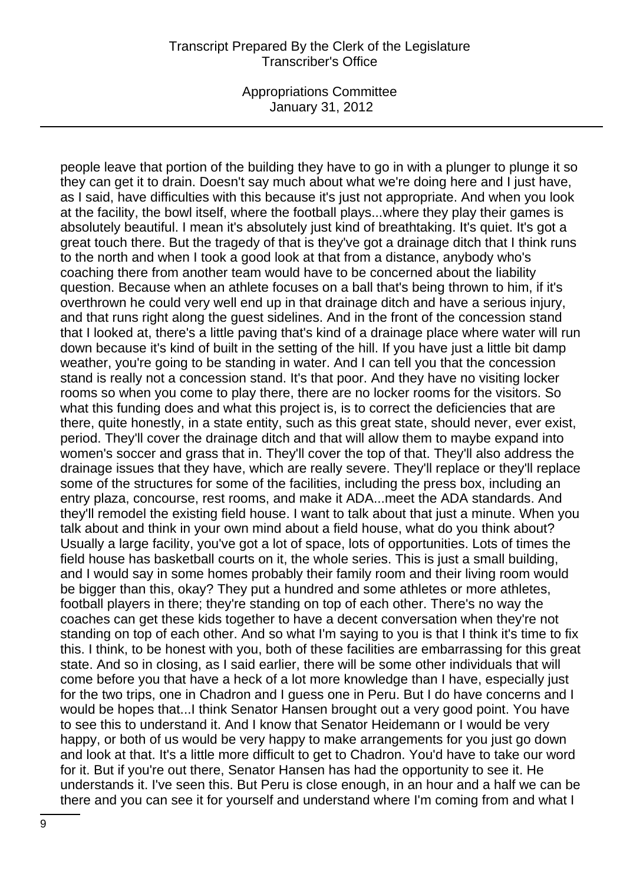Appropriations Committee January 31, 2012

people leave that portion of the building they have to go in with a plunger to plunge it so they can get it to drain. Doesn't say much about what we're doing here and I just have, as I said, have difficulties with this because it's just not appropriate. And when you look at the facility, the bowl itself, where the football plays...where they play their games is absolutely beautiful. I mean it's absolutely just kind of breathtaking. It's quiet. It's got a great touch there. But the tragedy of that is they've got a drainage ditch that I think runs to the north and when I took a good look at that from a distance, anybody who's coaching there from another team would have to be concerned about the liability question. Because when an athlete focuses on a ball that's being thrown to him, if it's overthrown he could very well end up in that drainage ditch and have a serious injury, and that runs right along the guest sidelines. And in the front of the concession stand that I looked at, there's a little paving that's kind of a drainage place where water will run down because it's kind of built in the setting of the hill. If you have just a little bit damp weather, you're going to be standing in water. And I can tell you that the concession stand is really not a concession stand. It's that poor. And they have no visiting locker rooms so when you come to play there, there are no locker rooms for the visitors. So what this funding does and what this project is, is to correct the deficiencies that are there, quite honestly, in a state entity, such as this great state, should never, ever exist, period. They'll cover the drainage ditch and that will allow them to maybe expand into women's soccer and grass that in. They'll cover the top of that. They'll also address the drainage issues that they have, which are really severe. They'll replace or they'll replace some of the structures for some of the facilities, including the press box, including an entry plaza, concourse, rest rooms, and make it ADA...meet the ADA standards. And they'll remodel the existing field house. I want to talk about that just a minute. When you talk about and think in your own mind about a field house, what do you think about? Usually a large facility, you've got a lot of space, lots of opportunities. Lots of times the field house has basketball courts on it, the whole series. This is just a small building, and I would say in some homes probably their family room and their living room would be bigger than this, okay? They put a hundred and some athletes or more athletes, football players in there; they're standing on top of each other. There's no way the coaches can get these kids together to have a decent conversation when they're not standing on top of each other. And so what I'm saying to you is that I think it's time to fix this. I think, to be honest with you, both of these facilities are embarrassing for this great state. And so in closing, as I said earlier, there will be some other individuals that will come before you that have a heck of a lot more knowledge than I have, especially just for the two trips, one in Chadron and I guess one in Peru. But I do have concerns and I would be hopes that...I think Senator Hansen brought out a very good point. You have to see this to understand it. And I know that Senator Heidemann or I would be very happy, or both of us would be very happy to make arrangements for you just go down and look at that. It's a little more difficult to get to Chadron. You'd have to take our word for it. But if you're out there, Senator Hansen has had the opportunity to see it. He understands it. I've seen this. But Peru is close enough, in an hour and a half we can be there and you can see it for yourself and understand where I'm coming from and what I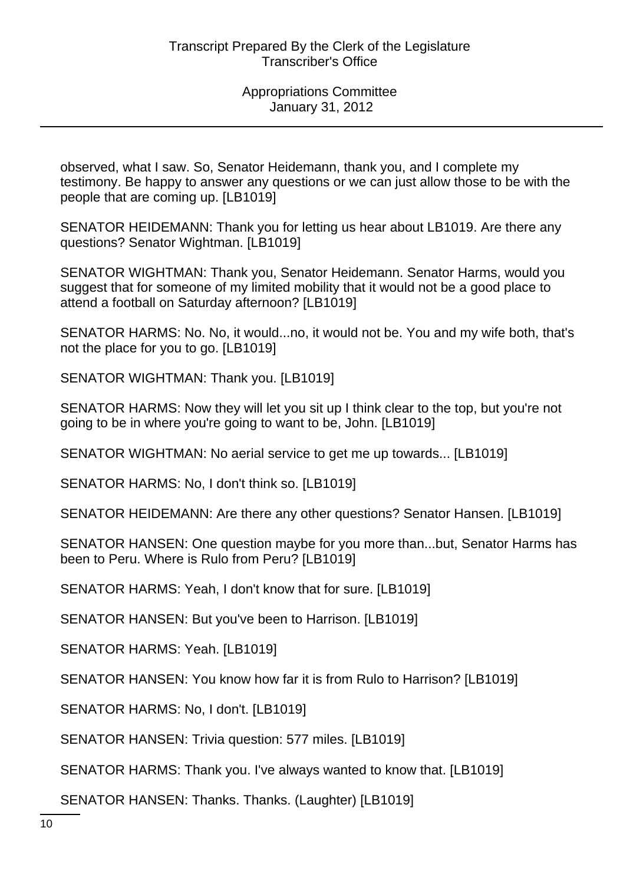observed, what I saw. So, Senator Heidemann, thank you, and I complete my testimony. Be happy to answer any questions or we can just allow those to be with the people that are coming up. [LB1019]

SENATOR HEIDEMANN: Thank you for letting us hear about LB1019. Are there any questions? Senator Wightman. [LB1019]

SENATOR WIGHTMAN: Thank you, Senator Heidemann. Senator Harms, would you suggest that for someone of my limited mobility that it would not be a good place to attend a football on Saturday afternoon? [LB1019]

SENATOR HARMS: No. No, it would...no, it would not be. You and my wife both, that's not the place for you to go. [LB1019]

SENATOR WIGHTMAN: Thank you. [LB1019]

SENATOR HARMS: Now they will let you sit up I think clear to the top, but you're not going to be in where you're going to want to be, John. [LB1019]

SENATOR WIGHTMAN: No aerial service to get me up towards... [LB1019]

SENATOR HARMS: No, I don't think so. [LB1019]

SENATOR HEIDEMANN: Are there any other questions? Senator Hansen. [LB1019]

SENATOR HANSEN: One question maybe for you more than...but, Senator Harms has been to Peru. Where is Rulo from Peru? [LB1019]

SENATOR HARMS: Yeah, I don't know that for sure. [LB1019]

SENATOR HANSEN: But you've been to Harrison. [LB1019]

SENATOR HARMS: Yeah. [LB1019]

SENATOR HANSEN: You know how far it is from Rulo to Harrison? [LB1019]

SENATOR HARMS: No, I don't. [LB1019]

SENATOR HANSEN: Trivia question: 577 miles. [LB1019]

SENATOR HARMS: Thank you. I've always wanted to know that. [LB1019]

SENATOR HANSEN: Thanks. Thanks. (Laughter) [LB1019]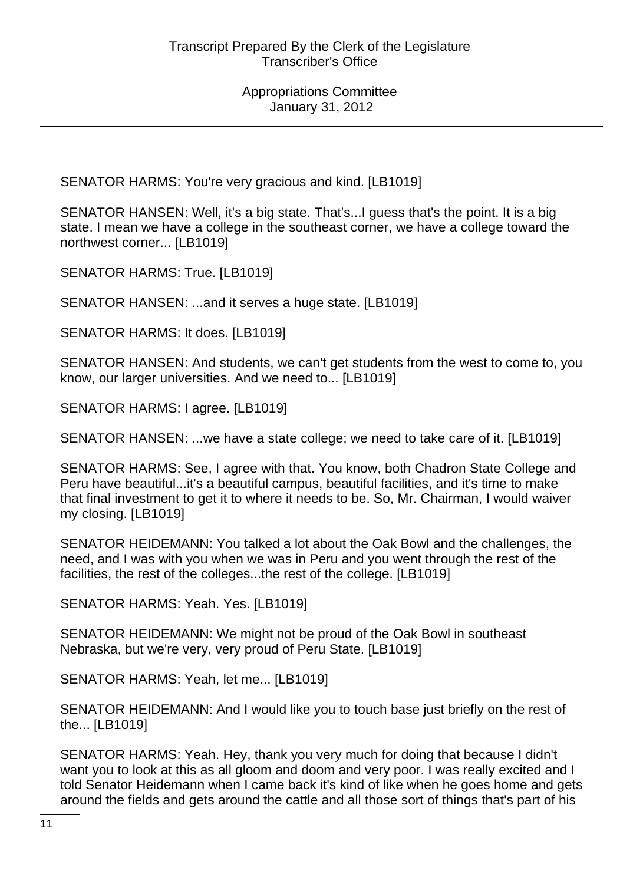SENATOR HARMS: You're very gracious and kind. [LB1019]

SENATOR HANSEN: Well, it's a big state. That's...I guess that's the point. It is a big state. I mean we have a college in the southeast corner, we have a college toward the northwest corner... [LB1019]

SENATOR HARMS: True. [LB1019]

SENATOR HANSEN: ...and it serves a huge state. [LB1019]

SENATOR HARMS: It does. [LB1019]

SENATOR HANSEN: And students, we can't get students from the west to come to, you know, our larger universities. And we need to... [LB1019]

SENATOR HARMS: I agree. [LB1019]

SENATOR HANSEN: ...we have a state college; we need to take care of it. [LB1019]

SENATOR HARMS: See, I agree with that. You know, both Chadron State College and Peru have beautiful...it's a beautiful campus, beautiful facilities, and it's time to make that final investment to get it to where it needs to be. So, Mr. Chairman, I would waiver my closing. [LB1019]

SENATOR HEIDEMANN: You talked a lot about the Oak Bowl and the challenges, the need, and I was with you when we was in Peru and you went through the rest of the facilities, the rest of the colleges...the rest of the college. [LB1019]

SENATOR HARMS: Yeah. Yes. [LB1019]

SENATOR HEIDEMANN: We might not be proud of the Oak Bowl in southeast Nebraska, but we're very, very proud of Peru State. [LB1019]

SENATOR HARMS: Yeah, let me... [LB1019]

SENATOR HEIDEMANN: And I would like you to touch base just briefly on the rest of the... [LB1019]

SENATOR HARMS: Yeah. Hey, thank you very much for doing that because I didn't want you to look at this as all gloom and doom and very poor. I was really excited and I told Senator Heidemann when I came back it's kind of like when he goes home and gets around the fields and gets around the cattle and all those sort of things that's part of his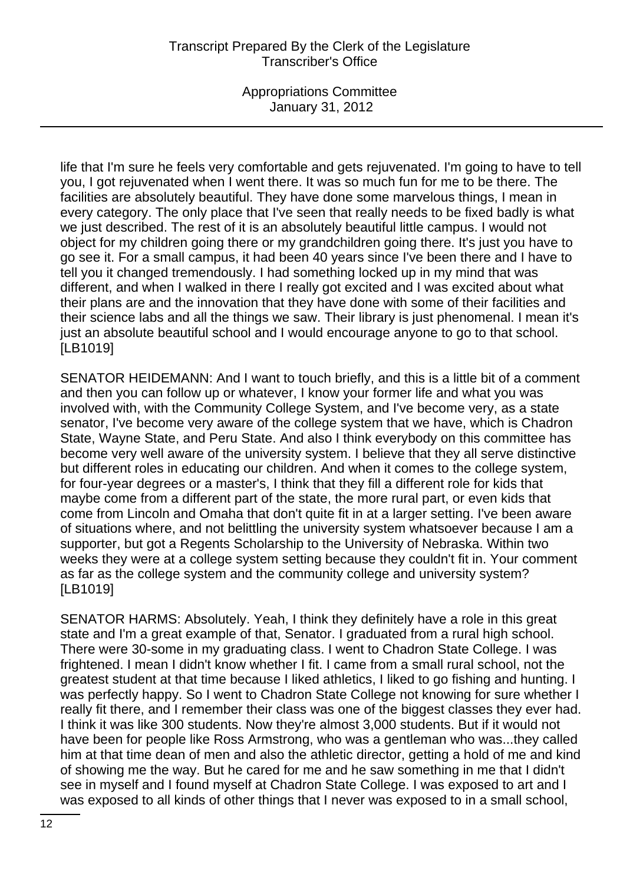Appropriations Committee January 31, 2012

life that I'm sure he feels very comfortable and gets rejuvenated. I'm going to have to tell you, I got rejuvenated when I went there. It was so much fun for me to be there. The facilities are absolutely beautiful. They have done some marvelous things, I mean in every category. The only place that I've seen that really needs to be fixed badly is what we just described. The rest of it is an absolutely beautiful little campus. I would not object for my children going there or my grandchildren going there. It's just you have to go see it. For a small campus, it had been 40 years since I've been there and I have to tell you it changed tremendously. I had something locked up in my mind that was different, and when I walked in there I really got excited and I was excited about what their plans are and the innovation that they have done with some of their facilities and their science labs and all the things we saw. Their library is just phenomenal. I mean it's just an absolute beautiful school and I would encourage anyone to go to that school. [LB1019]

SENATOR HEIDEMANN: And I want to touch briefly, and this is a little bit of a comment and then you can follow up or whatever, I know your former life and what you was involved with, with the Community College System, and I've become very, as a state senator, I've become very aware of the college system that we have, which is Chadron State, Wayne State, and Peru State. And also I think everybody on this committee has become very well aware of the university system. I believe that they all serve distinctive but different roles in educating our children. And when it comes to the college system, for four-year degrees or a master's, I think that they fill a different role for kids that maybe come from a different part of the state, the more rural part, or even kids that come from Lincoln and Omaha that don't quite fit in at a larger setting. I've been aware of situations where, and not belittling the university system whatsoever because I am a supporter, but got a Regents Scholarship to the University of Nebraska. Within two weeks they were at a college system setting because they couldn't fit in. Your comment as far as the college system and the community college and university system? [LB1019]

SENATOR HARMS: Absolutely. Yeah, I think they definitely have a role in this great state and I'm a great example of that, Senator. I graduated from a rural high school. There were 30-some in my graduating class. I went to Chadron State College. I was frightened. I mean I didn't know whether I fit. I came from a small rural school, not the greatest student at that time because I liked athletics, I liked to go fishing and hunting. I was perfectly happy. So I went to Chadron State College not knowing for sure whether I really fit there, and I remember their class was one of the biggest classes they ever had. I think it was like 300 students. Now they're almost 3,000 students. But if it would not have been for people like Ross Armstrong, who was a gentleman who was...they called him at that time dean of men and also the athletic director, getting a hold of me and kind of showing me the way. But he cared for me and he saw something in me that I didn't see in myself and I found myself at Chadron State College. I was exposed to art and I was exposed to all kinds of other things that I never was exposed to in a small school,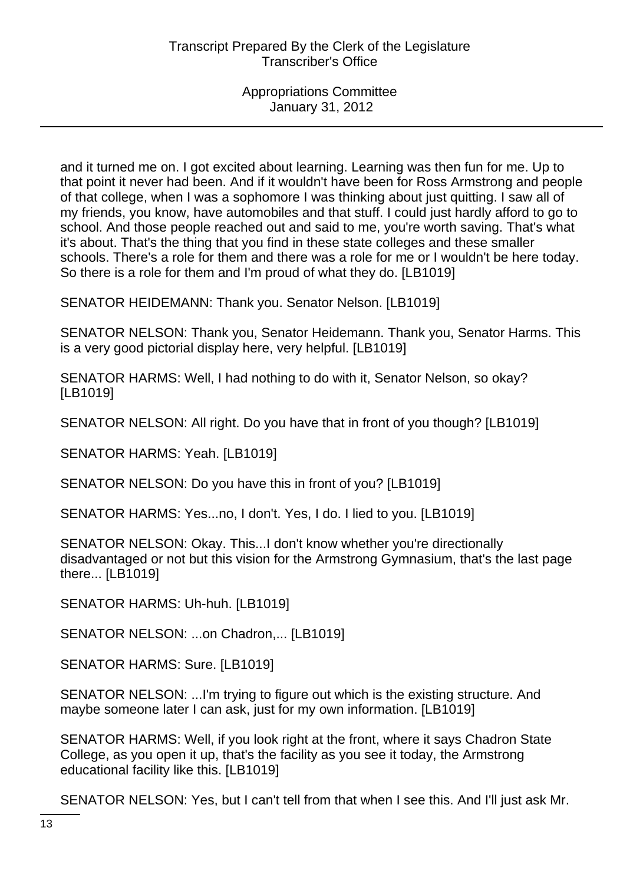and it turned me on. I got excited about learning. Learning was then fun for me. Up to that point it never had been. And if it wouldn't have been for Ross Armstrong and people of that college, when I was a sophomore I was thinking about just quitting. I saw all of my friends, you know, have automobiles and that stuff. I could just hardly afford to go to school. And those people reached out and said to me, you're worth saving. That's what it's about. That's the thing that you find in these state colleges and these smaller schools. There's a role for them and there was a role for me or I wouldn't be here today. So there is a role for them and I'm proud of what they do. [LB1019]

SENATOR HEIDEMANN: Thank you. Senator Nelson. [LB1019]

SENATOR NELSON: Thank you, Senator Heidemann. Thank you, Senator Harms. This is a very good pictorial display here, very helpful. [LB1019]

SENATOR HARMS: Well, I had nothing to do with it, Senator Nelson, so okay? [LB1019]

SENATOR NELSON: All right. Do you have that in front of you though? [LB1019]

SENATOR HARMS: Yeah. [LB1019]

SENATOR NELSON: Do you have this in front of you? [LB1019]

SENATOR HARMS: Yes...no, I don't. Yes, I do. I lied to you. [LB1019]

SENATOR NELSON: Okay. This...I don't know whether you're directionally disadvantaged or not but this vision for the Armstrong Gymnasium, that's the last page there... [LB1019]

SENATOR HARMS: Uh-huh. [LB1019]

SENATOR NELSON: ...on Chadron,... [LB1019]

SENATOR HARMS: Sure. [LB1019]

SENATOR NELSON: ...I'm trying to figure out which is the existing structure. And maybe someone later I can ask, just for my own information. [LB1019]

SENATOR HARMS: Well, if you look right at the front, where it says Chadron State College, as you open it up, that's the facility as you see it today, the Armstrong educational facility like this. [LB1019]

SENATOR NELSON: Yes, but I can't tell from that when I see this. And I'll just ask Mr.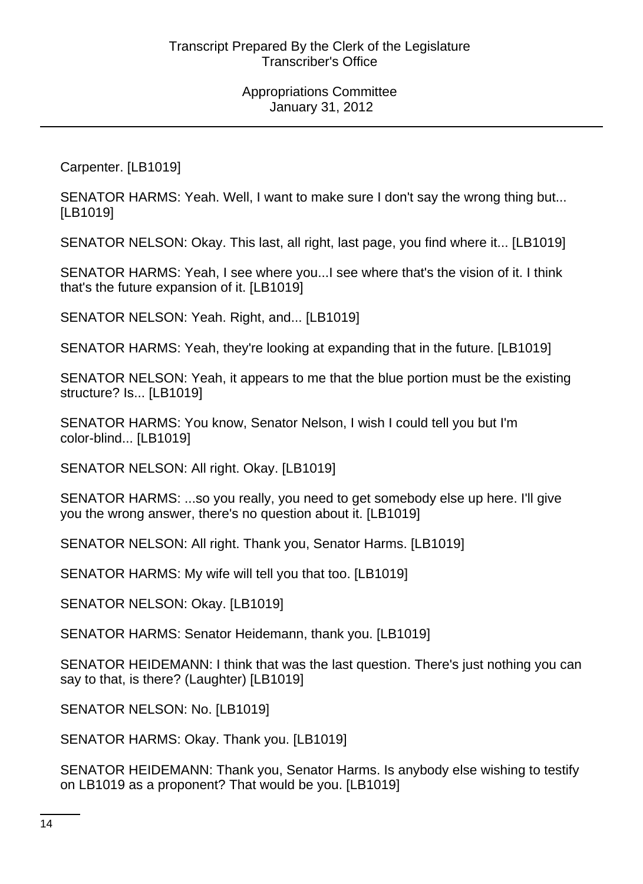Carpenter. [LB1019]

SENATOR HARMS: Yeah. Well, I want to make sure I don't say the wrong thing but... [LB1019]

SENATOR NELSON: Okay. This last, all right, last page, you find where it... [LB1019]

SENATOR HARMS: Yeah, I see where you...I see where that's the vision of it. I think that's the future expansion of it. [LB1019]

SENATOR NELSON: Yeah. Right, and... [LB1019]

SENATOR HARMS: Yeah, they're looking at expanding that in the future. [LB1019]

SENATOR NELSON: Yeah, it appears to me that the blue portion must be the existing structure? Is... [LB1019]

SENATOR HARMS: You know, Senator Nelson, I wish I could tell you but I'm color-blind... [LB1019]

SENATOR NELSON: All right. Okay. [LB1019]

SENATOR HARMS: ...so you really, you need to get somebody else up here. I'll give you the wrong answer, there's no question about it. [LB1019]

SENATOR NELSON: All right. Thank you, Senator Harms. [LB1019]

SENATOR HARMS: My wife will tell you that too. [LB1019]

SENATOR NELSON: Okay. [LB1019]

SENATOR HARMS: Senator Heidemann, thank you. [LB1019]

SENATOR HEIDEMANN: I think that was the last question. There's just nothing you can say to that, is there? (Laughter) [LB1019]

SENATOR NELSON: No. [LB1019]

SENATOR HARMS: Okay. Thank you. [LB1019]

SENATOR HEIDEMANN: Thank you, Senator Harms. Is anybody else wishing to testify on LB1019 as a proponent? That would be you. [LB1019]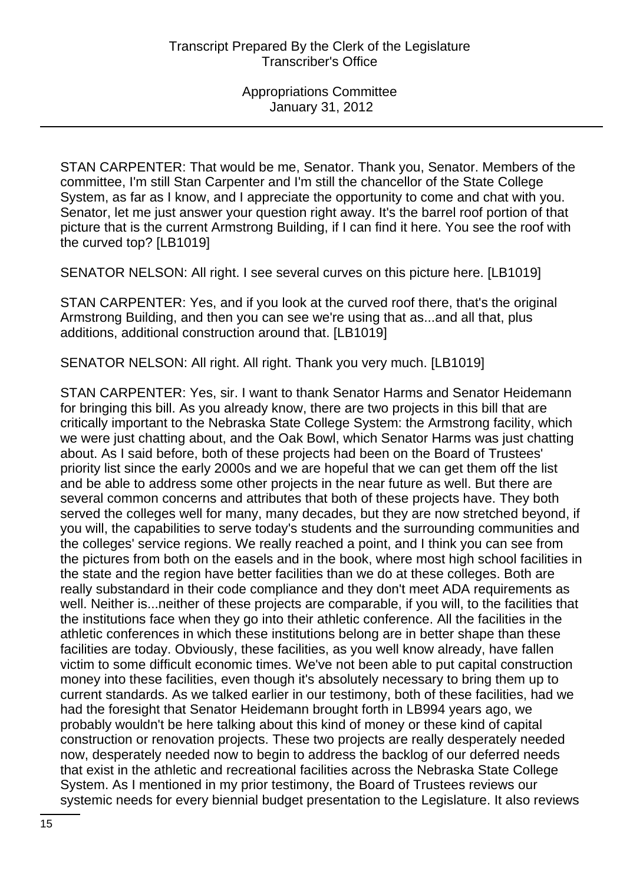STAN CARPENTER: That would be me, Senator. Thank you, Senator. Members of the committee, I'm still Stan Carpenter and I'm still the chancellor of the State College System, as far as I know, and I appreciate the opportunity to come and chat with you. Senator, let me just answer your question right away. It's the barrel roof portion of that picture that is the current Armstrong Building, if I can find it here. You see the roof with the curved top? [LB1019]

SENATOR NELSON: All right. I see several curves on this picture here. [LB1019]

STAN CARPENTER: Yes, and if you look at the curved roof there, that's the original Armstrong Building, and then you can see we're using that as...and all that, plus additions, additional construction around that. [LB1019]

SENATOR NELSON: All right. All right. Thank you very much. [LB1019]

STAN CARPENTER: Yes, sir. I want to thank Senator Harms and Senator Heidemann for bringing this bill. As you already know, there are two projects in this bill that are critically important to the Nebraska State College System: the Armstrong facility, which we were just chatting about, and the Oak Bowl, which Senator Harms was just chatting about. As I said before, both of these projects had been on the Board of Trustees' priority list since the early 2000s and we are hopeful that we can get them off the list and be able to address some other projects in the near future as well. But there are several common concerns and attributes that both of these projects have. They both served the colleges well for many, many decades, but they are now stretched beyond, if you will, the capabilities to serve today's students and the surrounding communities and the colleges' service regions. We really reached a point, and I think you can see from the pictures from both on the easels and in the book, where most high school facilities in the state and the region have better facilities than we do at these colleges. Both are really substandard in their code compliance and they don't meet ADA requirements as well. Neither is...neither of these projects are comparable, if you will, to the facilities that the institutions face when they go into their athletic conference. All the facilities in the athletic conferences in which these institutions belong are in better shape than these facilities are today. Obviously, these facilities, as you well know already, have fallen victim to some difficult economic times. We've not been able to put capital construction money into these facilities, even though it's absolutely necessary to bring them up to current standards. As we talked earlier in our testimony, both of these facilities, had we had the foresight that Senator Heidemann brought forth in LB994 years ago, we probably wouldn't be here talking about this kind of money or these kind of capital construction or renovation projects. These two projects are really desperately needed now, desperately needed now to begin to address the backlog of our deferred needs that exist in the athletic and recreational facilities across the Nebraska State College System. As I mentioned in my prior testimony, the Board of Trustees reviews our systemic needs for every biennial budget presentation to the Legislature. It also reviews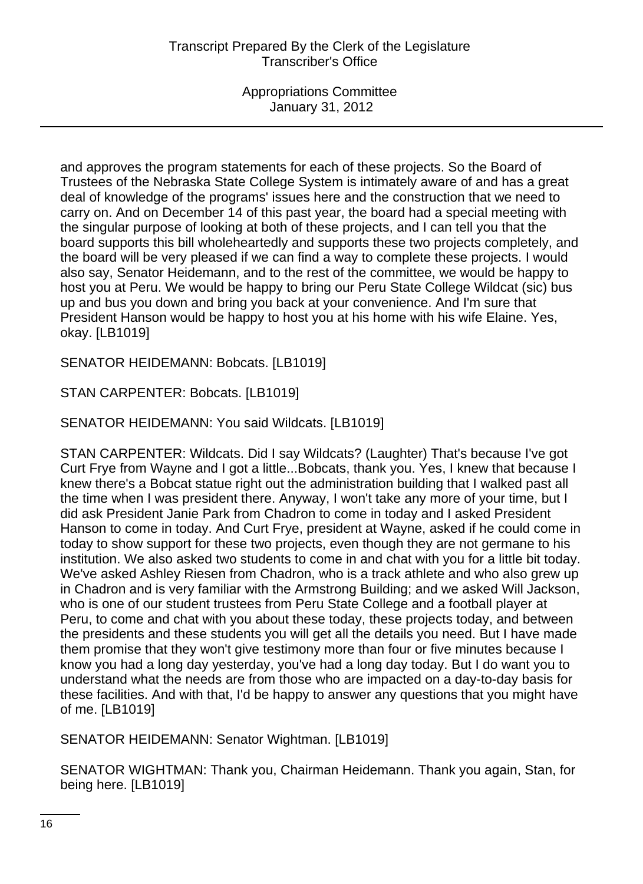and approves the program statements for each of these projects. So the Board of Trustees of the Nebraska State College System is intimately aware of and has a great deal of knowledge of the programs' issues here and the construction that we need to carry on. And on December 14 of this past year, the board had a special meeting with the singular purpose of looking at both of these projects, and I can tell you that the board supports this bill wholeheartedly and supports these two projects completely, and the board will be very pleased if we can find a way to complete these projects. I would also say, Senator Heidemann, and to the rest of the committee, we would be happy to host you at Peru. We would be happy to bring our Peru State College Wildcat (sic) bus up and bus you down and bring you back at your convenience. And I'm sure that President Hanson would be happy to host you at his home with his wife Elaine. Yes, okay. [LB1019]

SENATOR HEIDEMANN: Bobcats. [LB1019]

STAN CARPENTER: Bobcats. [LB1019]

SENATOR HEIDEMANN: You said Wildcats. [LB1019]

STAN CARPENTER: Wildcats. Did I say Wildcats? (Laughter) That's because I've got Curt Frye from Wayne and I got a little...Bobcats, thank you. Yes, I knew that because I knew there's a Bobcat statue right out the administration building that I walked past all the time when I was president there. Anyway, I won't take any more of your time, but I did ask President Janie Park from Chadron to come in today and I asked President Hanson to come in today. And Curt Frye, president at Wayne, asked if he could come in today to show support for these two projects, even though they are not germane to his institution. We also asked two students to come in and chat with you for a little bit today. We've asked Ashley Riesen from Chadron, who is a track athlete and who also grew up in Chadron and is very familiar with the Armstrong Building; and we asked Will Jackson, who is one of our student trustees from Peru State College and a football player at Peru, to come and chat with you about these today, these projects today, and between the presidents and these students you will get all the details you need. But I have made them promise that they won't give testimony more than four or five minutes because I know you had a long day yesterday, you've had a long day today. But I do want you to understand what the needs are from those who are impacted on a day-to-day basis for these facilities. And with that, I'd be happy to answer any questions that you might have of me. [LB1019]

SENATOR HEIDEMANN: Senator Wightman. [LB1019]

SENATOR WIGHTMAN: Thank you, Chairman Heidemann. Thank you again, Stan, for being here. [LB1019]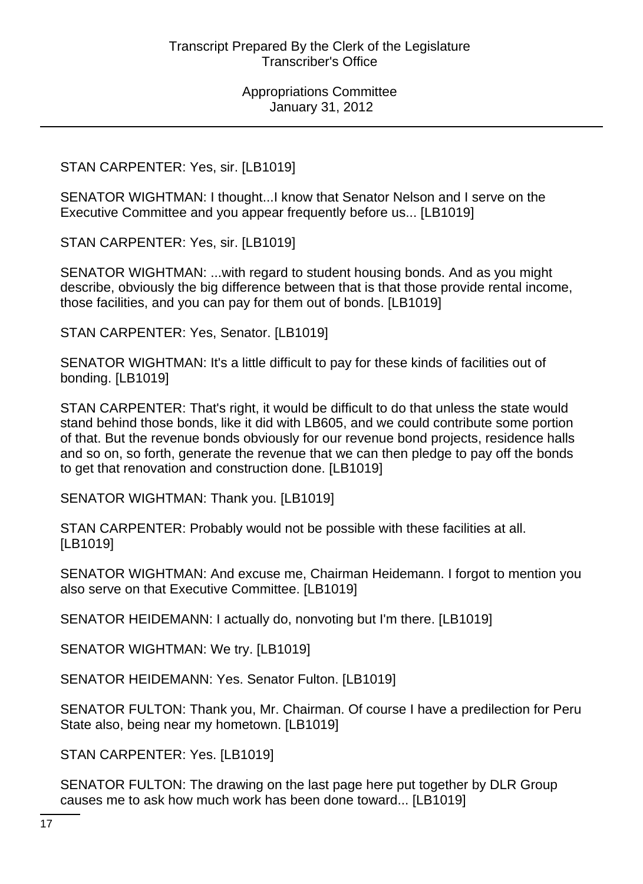### STAN CARPENTER: Yes, sir. [LB1019]

SENATOR WIGHTMAN: I thought...I know that Senator Nelson and I serve on the Executive Committee and you appear frequently before us... [LB1019]

STAN CARPENTER: Yes, sir. [LB1019]

SENATOR WIGHTMAN: ...with regard to student housing bonds. And as you might describe, obviously the big difference between that is that those provide rental income, those facilities, and you can pay for them out of bonds. [LB1019]

STAN CARPENTER: Yes, Senator. [LB1019]

SENATOR WIGHTMAN: It's a little difficult to pay for these kinds of facilities out of bonding. [LB1019]

STAN CARPENTER: That's right, it would be difficult to do that unless the state would stand behind those bonds, like it did with LB605, and we could contribute some portion of that. But the revenue bonds obviously for our revenue bond projects, residence halls and so on, so forth, generate the revenue that we can then pledge to pay off the bonds to get that renovation and construction done. [LB1019]

SENATOR WIGHTMAN: Thank you. [LB1019]

STAN CARPENTER: Probably would not be possible with these facilities at all. [LB1019]

SENATOR WIGHTMAN: And excuse me, Chairman Heidemann. I forgot to mention you also serve on that Executive Committee. [LB1019]

SENATOR HEIDEMANN: I actually do, nonvoting but I'm there. [LB1019]

SENATOR WIGHTMAN: We try. [LB1019]

SENATOR HEIDEMANN: Yes. Senator Fulton. [LB1019]

SENATOR FULTON: Thank you, Mr. Chairman. Of course I have a predilection for Peru State also, being near my hometown. [LB1019]

STAN CARPENTER: Yes. [LB1019]

SENATOR FULTON: The drawing on the last page here put together by DLR Group causes me to ask how much work has been done toward... [LB1019]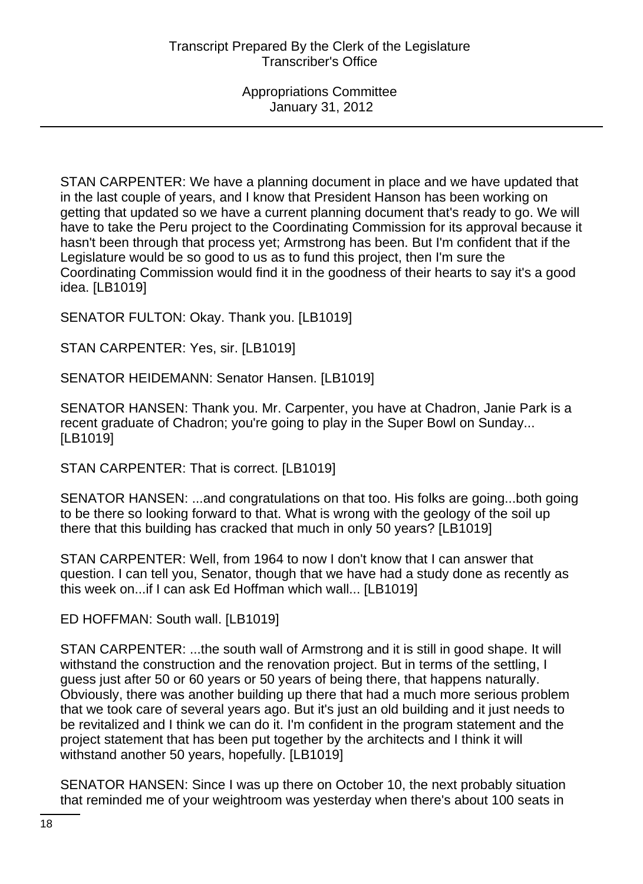STAN CARPENTER: We have a planning document in place and we have updated that in the last couple of years, and I know that President Hanson has been working on getting that updated so we have a current planning document that's ready to go. We will have to take the Peru project to the Coordinating Commission for its approval because it hasn't been through that process yet; Armstrong has been. But I'm confident that if the Legislature would be so good to us as to fund this project, then I'm sure the Coordinating Commission would find it in the goodness of their hearts to say it's a good idea. [LB1019]

SENATOR FULTON: Okay. Thank you. [LB1019]

STAN CARPENTER: Yes, sir. [LB1019]

SENATOR HEIDEMANN: Senator Hansen. [LB1019]

SENATOR HANSEN: Thank you. Mr. Carpenter, you have at Chadron, Janie Park is a recent graduate of Chadron; you're going to play in the Super Bowl on Sunday... [LB1019]

STAN CARPENTER: That is correct. [LB1019]

SENATOR HANSEN: ...and congratulations on that too. His folks are going...both going to be there so looking forward to that. What is wrong with the geology of the soil up there that this building has cracked that much in only 50 years? [LB1019]

STAN CARPENTER: Well, from 1964 to now I don't know that I can answer that question. I can tell you, Senator, though that we have had a study done as recently as this week on...if I can ask Ed Hoffman which wall... [LB1019]

ED HOFFMAN: South wall. [LB1019]

STAN CARPENTER: ...the south wall of Armstrong and it is still in good shape. It will withstand the construction and the renovation project. But in terms of the settling, I guess just after 50 or 60 years or 50 years of being there, that happens naturally. Obviously, there was another building up there that had a much more serious problem that we took care of several years ago. But it's just an old building and it just needs to be revitalized and I think we can do it. I'm confident in the program statement and the project statement that has been put together by the architects and I think it will withstand another 50 years, hopefully. [LB1019]

SENATOR HANSEN: Since I was up there on October 10, the next probably situation that reminded me of your weightroom was yesterday when there's about 100 seats in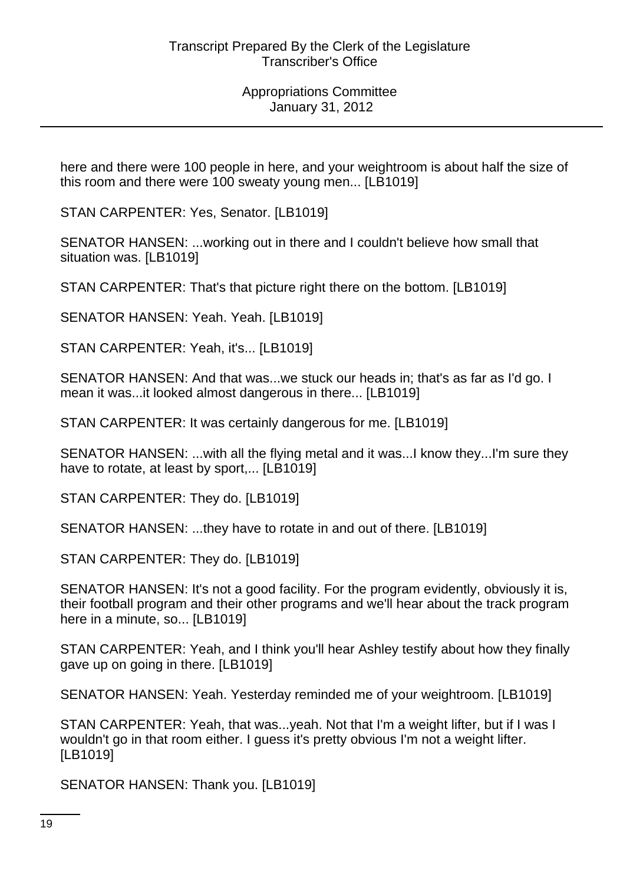here and there were 100 people in here, and your weightroom is about half the size of this room and there were 100 sweaty young men... [LB1019]

STAN CARPENTER: Yes, Senator. [LB1019]

SENATOR HANSEN: ...working out in there and I couldn't believe how small that situation was. [LB1019]

STAN CARPENTER: That's that picture right there on the bottom. [LB1019]

SENATOR HANSEN: Yeah. Yeah. [LB1019]

STAN CARPENTER: Yeah, it's... [LB1019]

SENATOR HANSEN: And that was...we stuck our heads in; that's as far as I'd go. I mean it was...it looked almost dangerous in there... [LB1019]

STAN CARPENTER: It was certainly dangerous for me. [LB1019]

SENATOR HANSEN: ...with all the flying metal and it was...I know they...I'm sure they have to rotate, at least by sport,... [LB1019]

STAN CARPENTER: They do. [LB1019]

SENATOR HANSEN: ...they have to rotate in and out of there. [LB1019]

STAN CARPENTER: They do. [LB1019]

SENATOR HANSEN: It's not a good facility. For the program evidently, obviously it is, their football program and their other programs and we'll hear about the track program here in a minute, so... [LB1019]

STAN CARPENTER: Yeah, and I think you'll hear Ashley testify about how they finally gave up on going in there. [LB1019]

SENATOR HANSEN: Yeah. Yesterday reminded me of your weightroom. [LB1019]

STAN CARPENTER: Yeah, that was...yeah. Not that I'm a weight lifter, but if I was I wouldn't go in that room either. I guess it's pretty obvious I'm not a weight lifter. [LB1019]

SENATOR HANSEN: Thank you. [LB1019]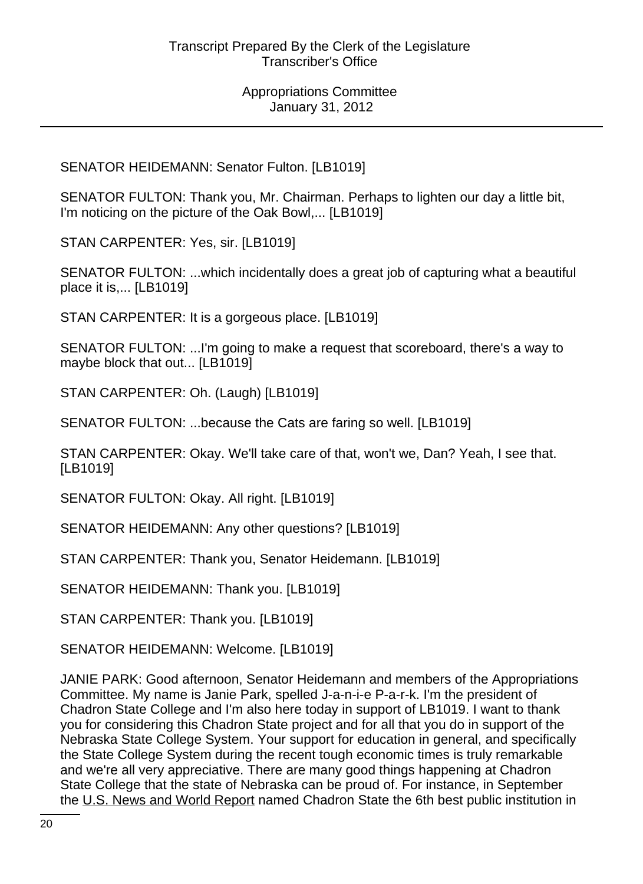SENATOR HEIDEMANN: Senator Fulton. [LB1019]

SENATOR FULTON: Thank you, Mr. Chairman. Perhaps to lighten our day a little bit, I'm noticing on the picture of the Oak Bowl,... [LB1019]

STAN CARPENTER: Yes, sir. [LB1019]

SENATOR FULTON: ...which incidentally does a great job of capturing what a beautiful place it is,... [LB1019]

STAN CARPENTER: It is a gorgeous place. [LB1019]

SENATOR FULTON: ...I'm going to make a request that scoreboard, there's a way to maybe block that out... [LB1019]

STAN CARPENTER: Oh. (Laugh) [LB1019]

SENATOR FULTON: ...because the Cats are faring so well. [LB1019]

STAN CARPENTER: Okay. We'll take care of that, won't we, Dan? Yeah, I see that. [LB1019]

SENATOR FULTON: Okay. All right. [LB1019]

SENATOR HEIDEMANN: Any other questions? [LB1019]

STAN CARPENTER: Thank you, Senator Heidemann. [LB1019]

SENATOR HEIDEMANN: Thank you. [LB1019]

STAN CARPENTER: Thank you. [LB1019]

SENATOR HEIDEMANN: Welcome. [LB1019]

JANIE PARK: Good afternoon, Senator Heidemann and members of the Appropriations Committee. My name is Janie Park, spelled J-a-n-i-e P-a-r-k. I'm the president of Chadron State College and I'm also here today in support of LB1019. I want to thank you for considering this Chadron State project and for all that you do in support of the Nebraska State College System. Your support for education in general, and specifically the State College System during the recent tough economic times is truly remarkable and we're all very appreciative. There are many good things happening at Chadron State College that the state of Nebraska can be proud of. For instance, in September the U.S. News and World Report named Chadron State the 6th best public institution in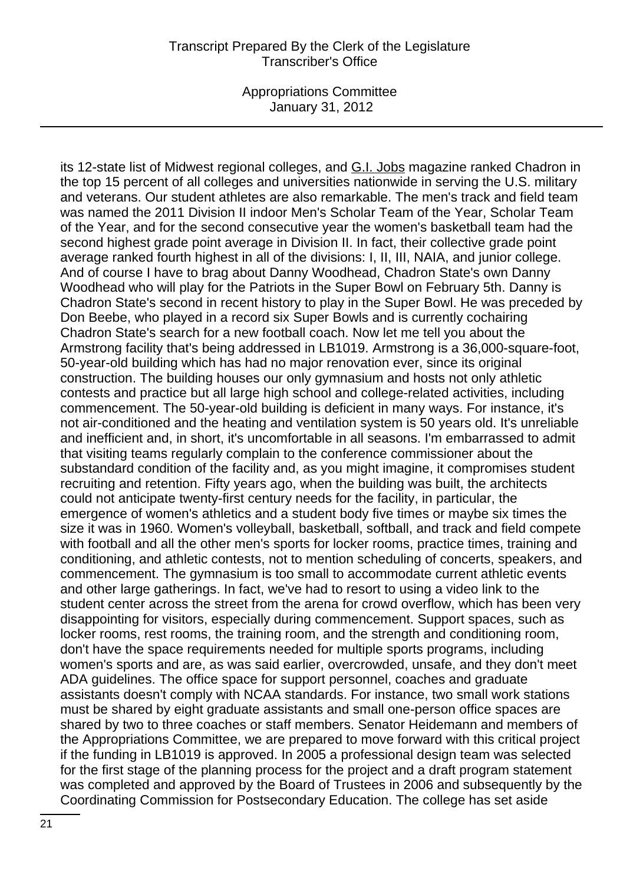Appropriations Committee January 31, 2012

its 12-state list of Midwest regional colleges, and G.I. Jobs magazine ranked Chadron in the top 15 percent of all colleges and universities nationwide in serving the U.S. military and veterans. Our student athletes are also remarkable. The men's track and field team was named the 2011 Division II indoor Men's Scholar Team of the Year, Scholar Team of the Year, and for the second consecutive year the women's basketball team had the second highest grade point average in Division II. In fact, their collective grade point average ranked fourth highest in all of the divisions: I, II, III, NAIA, and junior college. And of course I have to brag about Danny Woodhead, Chadron State's own Danny Woodhead who will play for the Patriots in the Super Bowl on February 5th. Danny is Chadron State's second in recent history to play in the Super Bowl. He was preceded by Don Beebe, who played in a record six Super Bowls and is currently cochairing Chadron State's search for a new football coach. Now let me tell you about the Armstrong facility that's being addressed in LB1019. Armstrong is a 36,000-square-foot, 50-year-old building which has had no major renovation ever, since its original construction. The building houses our only gymnasium and hosts not only athletic contests and practice but all large high school and college-related activities, including commencement. The 50-year-old building is deficient in many ways. For instance, it's not air-conditioned and the heating and ventilation system is 50 years old. It's unreliable and inefficient and, in short, it's uncomfortable in all seasons. I'm embarrassed to admit that visiting teams regularly complain to the conference commissioner about the substandard condition of the facility and, as you might imagine, it compromises student recruiting and retention. Fifty years ago, when the building was built, the architects could not anticipate twenty-first century needs for the facility, in particular, the emergence of women's athletics and a student body five times or maybe six times the size it was in 1960. Women's volleyball, basketball, softball, and track and field compete with football and all the other men's sports for locker rooms, practice times, training and conditioning, and athletic contests, not to mention scheduling of concerts, speakers, and commencement. The gymnasium is too small to accommodate current athletic events and other large gatherings. In fact, we've had to resort to using a video link to the student center across the street from the arena for crowd overflow, which has been very disappointing for visitors, especially during commencement. Support spaces, such as locker rooms, rest rooms, the training room, and the strength and conditioning room, don't have the space requirements needed for multiple sports programs, including women's sports and are, as was said earlier, overcrowded, unsafe, and they don't meet ADA guidelines. The office space for support personnel, coaches and graduate assistants doesn't comply with NCAA standards. For instance, two small work stations must be shared by eight graduate assistants and small one-person office spaces are shared by two to three coaches or staff members. Senator Heidemann and members of the Appropriations Committee, we are prepared to move forward with this critical project if the funding in LB1019 is approved. In 2005 a professional design team was selected for the first stage of the planning process for the project and a draft program statement was completed and approved by the Board of Trustees in 2006 and subsequently by the Coordinating Commission for Postsecondary Education. The college has set aside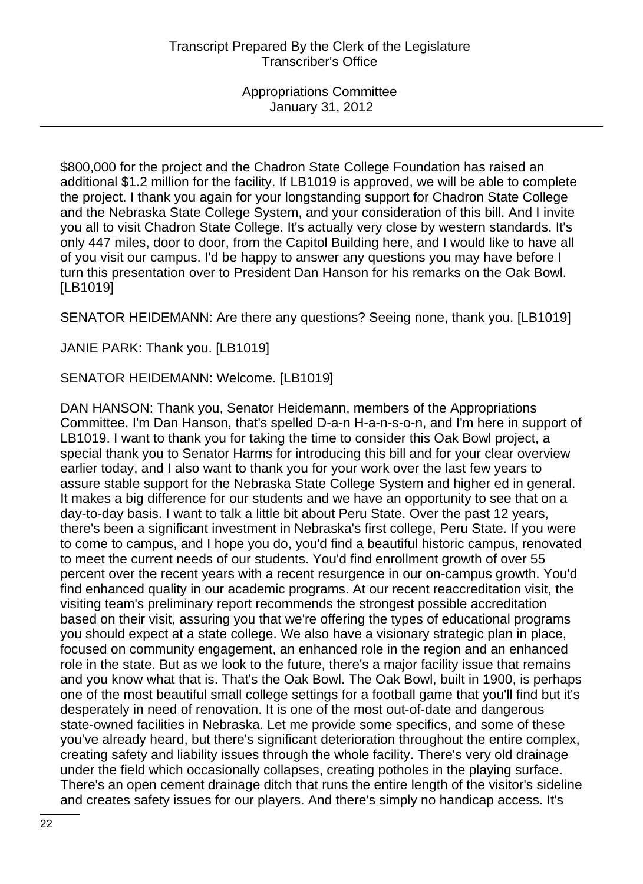\$800,000 for the project and the Chadron State College Foundation has raised an additional \$1.2 million for the facility. If LB1019 is approved, we will be able to complete the project. I thank you again for your longstanding support for Chadron State College and the Nebraska State College System, and your consideration of this bill. And I invite you all to visit Chadron State College. It's actually very close by western standards. It's only 447 miles, door to door, from the Capitol Building here, and I would like to have all of you visit our campus. I'd be happy to answer any questions you may have before I turn this presentation over to President Dan Hanson for his remarks on the Oak Bowl. [LB1019]

SENATOR HEIDEMANN: Are there any questions? Seeing none, thank you. [LB1019]

JANIE PARK: Thank you. [LB1019]

SENATOR HEIDEMANN: Welcome. [LB1019]

DAN HANSON: Thank you, Senator Heidemann, members of the Appropriations Committee. I'm Dan Hanson, that's spelled D-a-n H-a-n-s-o-n, and I'm here in support of LB1019. I want to thank you for taking the time to consider this Oak Bowl project, a special thank you to Senator Harms for introducing this bill and for your clear overview earlier today, and I also want to thank you for your work over the last few years to assure stable support for the Nebraska State College System and higher ed in general. It makes a big difference for our students and we have an opportunity to see that on a day-to-day basis. I want to talk a little bit about Peru State. Over the past 12 years, there's been a significant investment in Nebraska's first college, Peru State. If you were to come to campus, and I hope you do, you'd find a beautiful historic campus, renovated to meet the current needs of our students. You'd find enrollment growth of over 55 percent over the recent years with a recent resurgence in our on-campus growth. You'd find enhanced quality in our academic programs. At our recent reaccreditation visit, the visiting team's preliminary report recommends the strongest possible accreditation based on their visit, assuring you that we're offering the types of educational programs you should expect at a state college. We also have a visionary strategic plan in place, focused on community engagement, an enhanced role in the region and an enhanced role in the state. But as we look to the future, there's a major facility issue that remains and you know what that is. That's the Oak Bowl. The Oak Bowl, built in 1900, is perhaps one of the most beautiful small college settings for a football game that you'll find but it's desperately in need of renovation. It is one of the most out-of-date and dangerous state-owned facilities in Nebraska. Let me provide some specifics, and some of these you've already heard, but there's significant deterioration throughout the entire complex, creating safety and liability issues through the whole facility. There's very old drainage under the field which occasionally collapses, creating potholes in the playing surface. There's an open cement drainage ditch that runs the entire length of the visitor's sideline and creates safety issues for our players. And there's simply no handicap access. It's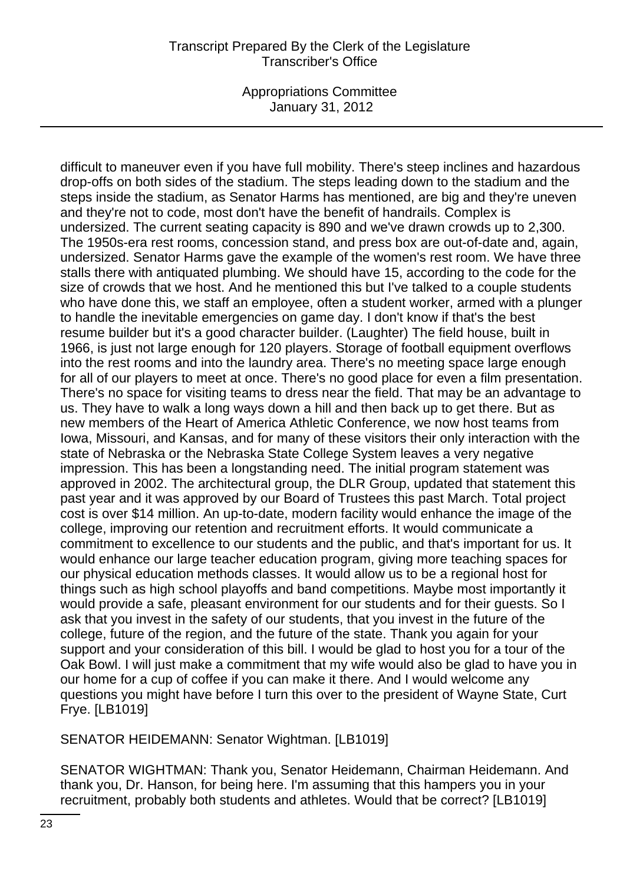Appropriations Committee January 31, 2012

difficult to maneuver even if you have full mobility. There's steep inclines and hazardous drop-offs on both sides of the stadium. The steps leading down to the stadium and the steps inside the stadium, as Senator Harms has mentioned, are big and they're uneven and they're not to code, most don't have the benefit of handrails. Complex is undersized. The current seating capacity is 890 and we've drawn crowds up to 2,300. The 1950s-era rest rooms, concession stand, and press box are out-of-date and, again, undersized. Senator Harms gave the example of the women's rest room. We have three stalls there with antiquated plumbing. We should have 15, according to the code for the size of crowds that we host. And he mentioned this but I've talked to a couple students who have done this, we staff an employee, often a student worker, armed with a plunger to handle the inevitable emergencies on game day. I don't know if that's the best resume builder but it's a good character builder. (Laughter) The field house, built in 1966, is just not large enough for 120 players. Storage of football equipment overflows into the rest rooms and into the laundry area. There's no meeting space large enough for all of our players to meet at once. There's no good place for even a film presentation. There's no space for visiting teams to dress near the field. That may be an advantage to us. They have to walk a long ways down a hill and then back up to get there. But as new members of the Heart of America Athletic Conference, we now host teams from Iowa, Missouri, and Kansas, and for many of these visitors their only interaction with the state of Nebraska or the Nebraska State College System leaves a very negative impression. This has been a longstanding need. The initial program statement was approved in 2002. The architectural group, the DLR Group, updated that statement this past year and it was approved by our Board of Trustees this past March. Total project cost is over \$14 million. An up-to-date, modern facility would enhance the image of the college, improving our retention and recruitment efforts. It would communicate a commitment to excellence to our students and the public, and that's important for us. It would enhance our large teacher education program, giving more teaching spaces for our physical education methods classes. It would allow us to be a regional host for things such as high school playoffs and band competitions. Maybe most importantly it would provide a safe, pleasant environment for our students and for their guests. So I ask that you invest in the safety of our students, that you invest in the future of the college, future of the region, and the future of the state. Thank you again for your support and your consideration of this bill. I would be glad to host you for a tour of the Oak Bowl. I will just make a commitment that my wife would also be glad to have you in our home for a cup of coffee if you can make it there. And I would welcome any questions you might have before I turn this over to the president of Wayne State, Curt Frye. [LB1019]

SENATOR HEIDEMANN: Senator Wightman. [LB1019]

SENATOR WIGHTMAN: Thank you, Senator Heidemann, Chairman Heidemann. And thank you, Dr. Hanson, for being here. I'm assuming that this hampers you in your recruitment, probably both students and athletes. Would that be correct? [LB1019]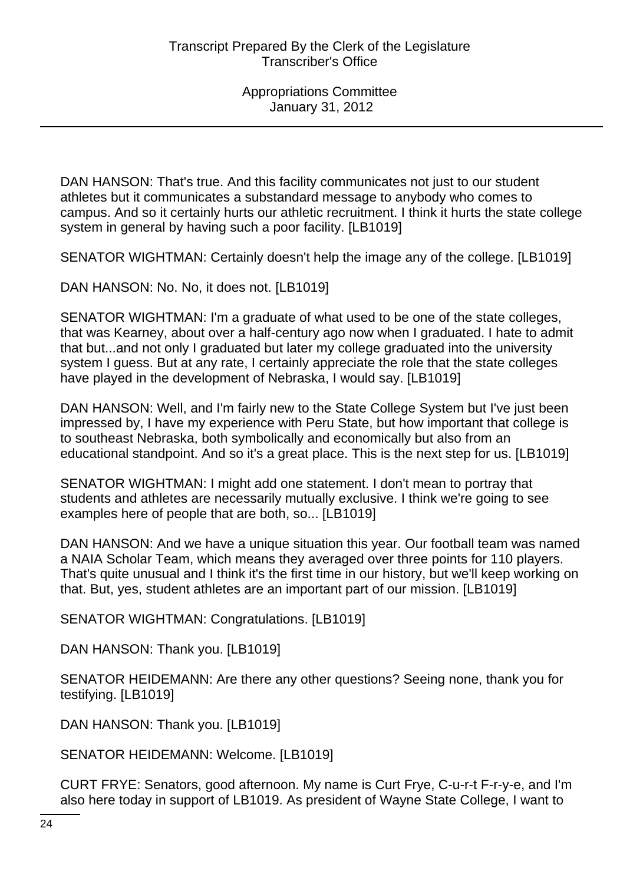DAN HANSON: That's true. And this facility communicates not just to our student athletes but it communicates a substandard message to anybody who comes to campus. And so it certainly hurts our athletic recruitment. I think it hurts the state college system in general by having such a poor facility. [LB1019]

SENATOR WIGHTMAN: Certainly doesn't help the image any of the college. [LB1019]

DAN HANSON: No. No, it does not. [LB1019]

SENATOR WIGHTMAN: I'm a graduate of what used to be one of the state colleges, that was Kearney, about over a half-century ago now when I graduated. I hate to admit that but...and not only I graduated but later my college graduated into the university system I guess. But at any rate, I certainly appreciate the role that the state colleges have played in the development of Nebraska, I would say. [LB1019]

DAN HANSON: Well, and I'm fairly new to the State College System but I've just been impressed by, I have my experience with Peru State, but how important that college is to southeast Nebraska, both symbolically and economically but also from an educational standpoint. And so it's a great place. This is the next step for us. [LB1019]

SENATOR WIGHTMAN: I might add one statement. I don't mean to portray that students and athletes are necessarily mutually exclusive. I think we're going to see examples here of people that are both, so... [LB1019]

DAN HANSON: And we have a unique situation this year. Our football team was named a NAIA Scholar Team, which means they averaged over three points for 110 players. That's quite unusual and I think it's the first time in our history, but we'll keep working on that. But, yes, student athletes are an important part of our mission. [LB1019]

SENATOR WIGHTMAN: Congratulations. [LB1019]

DAN HANSON: Thank you. [LB1019]

SENATOR HEIDEMANN: Are there any other questions? Seeing none, thank you for testifying. [LB1019]

DAN HANSON: Thank you. [LB1019]

SENATOR HEIDEMANN: Welcome. [LB1019]

CURT FRYE: Senators, good afternoon. My name is Curt Frye, C-u-r-t F-r-y-e, and I'm also here today in support of LB1019. As president of Wayne State College, I want to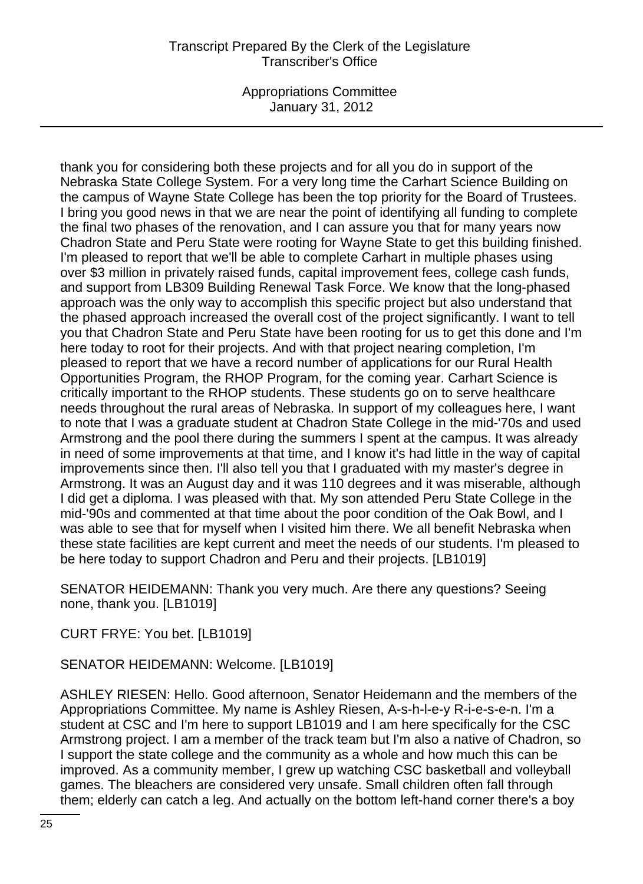Appropriations Committee January 31, 2012

thank you for considering both these projects and for all you do in support of the Nebraska State College System. For a very long time the Carhart Science Building on the campus of Wayne State College has been the top priority for the Board of Trustees. I bring you good news in that we are near the point of identifying all funding to complete the final two phases of the renovation, and I can assure you that for many years now Chadron State and Peru State were rooting for Wayne State to get this building finished. I'm pleased to report that we'll be able to complete Carhart in multiple phases using over \$3 million in privately raised funds, capital improvement fees, college cash funds, and support from LB309 Building Renewal Task Force. We know that the long-phased approach was the only way to accomplish this specific project but also understand that the phased approach increased the overall cost of the project significantly. I want to tell you that Chadron State and Peru State have been rooting for us to get this done and I'm here today to root for their projects. And with that project nearing completion, I'm pleased to report that we have a record number of applications for our Rural Health Opportunities Program, the RHOP Program, for the coming year. Carhart Science is critically important to the RHOP students. These students go on to serve healthcare needs throughout the rural areas of Nebraska. In support of my colleagues here, I want to note that I was a graduate student at Chadron State College in the mid-'70s and used Armstrong and the pool there during the summers I spent at the campus. It was already in need of some improvements at that time, and I know it's had little in the way of capital improvements since then. I'll also tell you that I graduated with my master's degree in Armstrong. It was an August day and it was 110 degrees and it was miserable, although I did get a diploma. I was pleased with that. My son attended Peru State College in the mid-'90s and commented at that time about the poor condition of the Oak Bowl, and I was able to see that for myself when I visited him there. We all benefit Nebraska when these state facilities are kept current and meet the needs of our students. I'm pleased to be here today to support Chadron and Peru and their projects. [LB1019]

SENATOR HEIDEMANN: Thank you very much. Are there any questions? Seeing none, thank you. [LB1019]

CURT FRYE: You bet. [LB1019]

SENATOR HEIDEMANN: Welcome. [LB1019]

ASHLEY RIESEN: Hello. Good afternoon, Senator Heidemann and the members of the Appropriations Committee. My name is Ashley Riesen, A-s-h-l-e-y R-i-e-s-e-n. I'm a student at CSC and I'm here to support LB1019 and I am here specifically for the CSC Armstrong project. I am a member of the track team but I'm also a native of Chadron, so I support the state college and the community as a whole and how much this can be improved. As a community member, I grew up watching CSC basketball and volleyball games. The bleachers are considered very unsafe. Small children often fall through them; elderly can catch a leg. And actually on the bottom left-hand corner there's a boy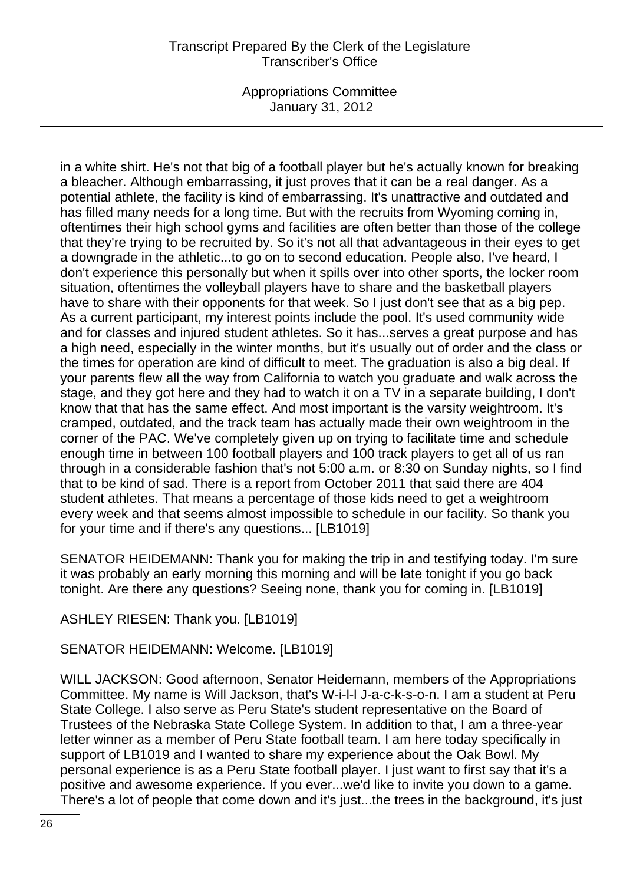Appropriations Committee January 31, 2012

in a white shirt. He's not that big of a football player but he's actually known for breaking a bleacher. Although embarrassing, it just proves that it can be a real danger. As a potential athlete, the facility is kind of embarrassing. It's unattractive and outdated and has filled many needs for a long time. But with the recruits from Wyoming coming in, oftentimes their high school gyms and facilities are often better than those of the college that they're trying to be recruited by. So it's not all that advantageous in their eyes to get a downgrade in the athletic...to go on to second education. People also, I've heard, I don't experience this personally but when it spills over into other sports, the locker room situation, oftentimes the volleyball players have to share and the basketball players have to share with their opponents for that week. So I just don't see that as a big pep. As a current participant, my interest points include the pool. It's used community wide and for classes and injured student athletes. So it has...serves a great purpose and has a high need, especially in the winter months, but it's usually out of order and the class or the times for operation are kind of difficult to meet. The graduation is also a big deal. If your parents flew all the way from California to watch you graduate and walk across the stage, and they got here and they had to watch it on a TV in a separate building, I don't know that that has the same effect. And most important is the varsity weightroom. It's cramped, outdated, and the track team has actually made their own weightroom in the corner of the PAC. We've completely given up on trying to facilitate time and schedule enough time in between 100 football players and 100 track players to get all of us ran through in a considerable fashion that's not 5:00 a.m. or 8:30 on Sunday nights, so I find that to be kind of sad. There is a report from October 2011 that said there are 404 student athletes. That means a percentage of those kids need to get a weightroom every week and that seems almost impossible to schedule in our facility. So thank you for your time and if there's any questions... [LB1019]

SENATOR HEIDEMANN: Thank you for making the trip in and testifying today. I'm sure it was probably an early morning this morning and will be late tonight if you go back tonight. Are there any questions? Seeing none, thank you for coming in. [LB1019]

ASHLEY RIESEN: Thank you. [LB1019]

# SENATOR HEIDEMANN: Welcome. [LB1019]

WILL JACKSON: Good afternoon, Senator Heidemann, members of the Appropriations Committee. My name is Will Jackson, that's W-i-l-l J-a-c-k-s-o-n. I am a student at Peru State College. I also serve as Peru State's student representative on the Board of Trustees of the Nebraska State College System. In addition to that, I am a three-year letter winner as a member of Peru State football team. I am here today specifically in support of LB1019 and I wanted to share my experience about the Oak Bowl. My personal experience is as a Peru State football player. I just want to first say that it's a positive and awesome experience. If you ever...we'd like to invite you down to a game. There's a lot of people that come down and it's just...the trees in the background, it's just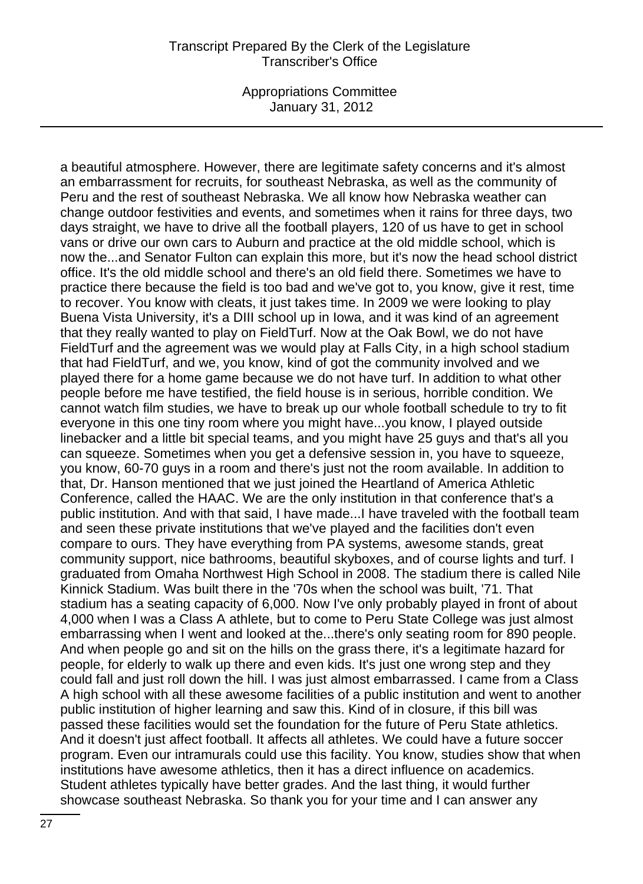Appropriations Committee January 31, 2012

a beautiful atmosphere. However, there are legitimate safety concerns and it's almost an embarrassment for recruits, for southeast Nebraska, as well as the community of Peru and the rest of southeast Nebraska. We all know how Nebraska weather can change outdoor festivities and events, and sometimes when it rains for three days, two days straight, we have to drive all the football players, 120 of us have to get in school vans or drive our own cars to Auburn and practice at the old middle school, which is now the...and Senator Fulton can explain this more, but it's now the head school district office. It's the old middle school and there's an old field there. Sometimes we have to practice there because the field is too bad and we've got to, you know, give it rest, time to recover. You know with cleats, it just takes time. In 2009 we were looking to play Buena Vista University, it's a DIII school up in Iowa, and it was kind of an agreement that they really wanted to play on FieldTurf. Now at the Oak Bowl, we do not have FieldTurf and the agreement was we would play at Falls City, in a high school stadium that had FieldTurf, and we, you know, kind of got the community involved and we played there for a home game because we do not have turf. In addition to what other people before me have testified, the field house is in serious, horrible condition. We cannot watch film studies, we have to break up our whole football schedule to try to fit everyone in this one tiny room where you might have...you know, I played outside linebacker and a little bit special teams, and you might have 25 guys and that's all you can squeeze. Sometimes when you get a defensive session in, you have to squeeze, you know, 60-70 guys in a room and there's just not the room available. In addition to that, Dr. Hanson mentioned that we just joined the Heartland of America Athletic Conference, called the HAAC. We are the only institution in that conference that's a public institution. And with that said, I have made...I have traveled with the football team and seen these private institutions that we've played and the facilities don't even compare to ours. They have everything from PA systems, awesome stands, great community support, nice bathrooms, beautiful skyboxes, and of course lights and turf. I graduated from Omaha Northwest High School in 2008. The stadium there is called Nile Kinnick Stadium. Was built there in the '70s when the school was built, '71. That stadium has a seating capacity of 6,000. Now I've only probably played in front of about 4,000 when I was a Class A athlete, but to come to Peru State College was just almost embarrassing when I went and looked at the...there's only seating room for 890 people. And when people go and sit on the hills on the grass there, it's a legitimate hazard for people, for elderly to walk up there and even kids. It's just one wrong step and they could fall and just roll down the hill. I was just almost embarrassed. I came from a Class A high school with all these awesome facilities of a public institution and went to another public institution of higher learning and saw this. Kind of in closure, if this bill was passed these facilities would set the foundation for the future of Peru State athletics. And it doesn't just affect football. It affects all athletes. We could have a future soccer program. Even our intramurals could use this facility. You know, studies show that when institutions have awesome athletics, then it has a direct influence on academics. Student athletes typically have better grades. And the last thing, it would further showcase southeast Nebraska. So thank you for your time and I can answer any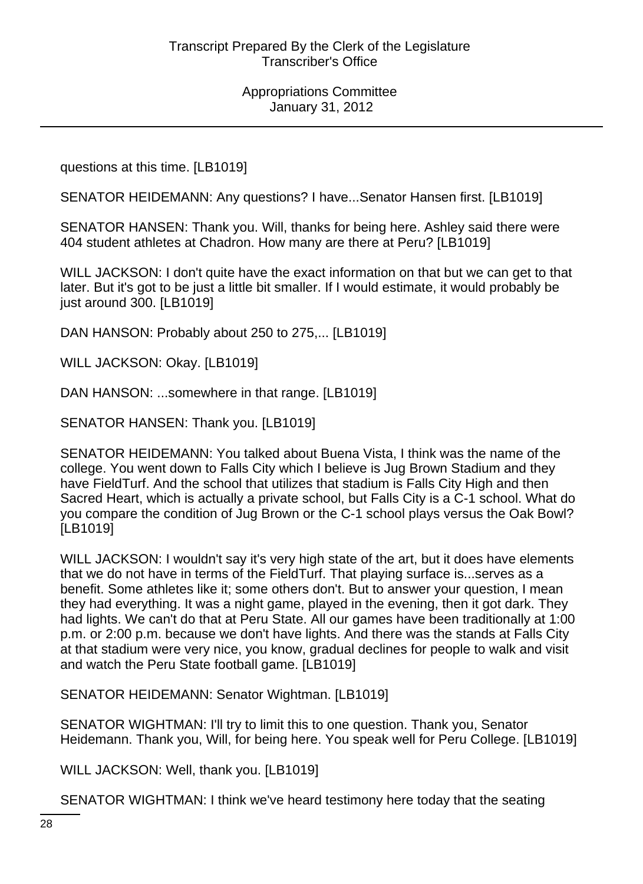questions at this time. [LB1019]

SENATOR HEIDEMANN: Any questions? I have...Senator Hansen first. [LB1019]

SENATOR HANSEN: Thank you. Will, thanks for being here. Ashley said there were 404 student athletes at Chadron. How many are there at Peru? [LB1019]

WILL JACKSON: I don't quite have the exact information on that but we can get to that later. But it's got to be just a little bit smaller. If I would estimate, it would probably be just around 300. [LB1019]

DAN HANSON: Probably about 250 to 275,... [LB1019]

WILL JACKSON: Okay. [LB1019]

DAN HANSON: ...somewhere in that range. [LB1019]

SENATOR HANSEN: Thank you. [LB1019]

SENATOR HEIDEMANN: You talked about Buena Vista, I think was the name of the college. You went down to Falls City which I believe is Jug Brown Stadium and they have FieldTurf. And the school that utilizes that stadium is Falls City High and then Sacred Heart, which is actually a private school, but Falls City is a C-1 school. What do you compare the condition of Jug Brown or the C-1 school plays versus the Oak Bowl? [LB1019]

WILL JACKSON: I wouldn't say it's very high state of the art, but it does have elements that we do not have in terms of the FieldTurf. That playing surface is...serves as a benefit. Some athletes like it; some others don't. But to answer your question, I mean they had everything. It was a night game, played in the evening, then it got dark. They had lights. We can't do that at Peru State. All our games have been traditionally at 1:00 p.m. or 2:00 p.m. because we don't have lights. And there was the stands at Falls City at that stadium were very nice, you know, gradual declines for people to walk and visit and watch the Peru State football game. [LB1019]

SENATOR HEIDEMANN: Senator Wightman. [LB1019]

SENATOR WIGHTMAN: I'll try to limit this to one question. Thank you, Senator Heidemann. Thank you, Will, for being here. You speak well for Peru College. [LB1019]

WILL JACKSON: Well, thank you. [LB1019]

SENATOR WIGHTMAN: I think we've heard testimony here today that the seating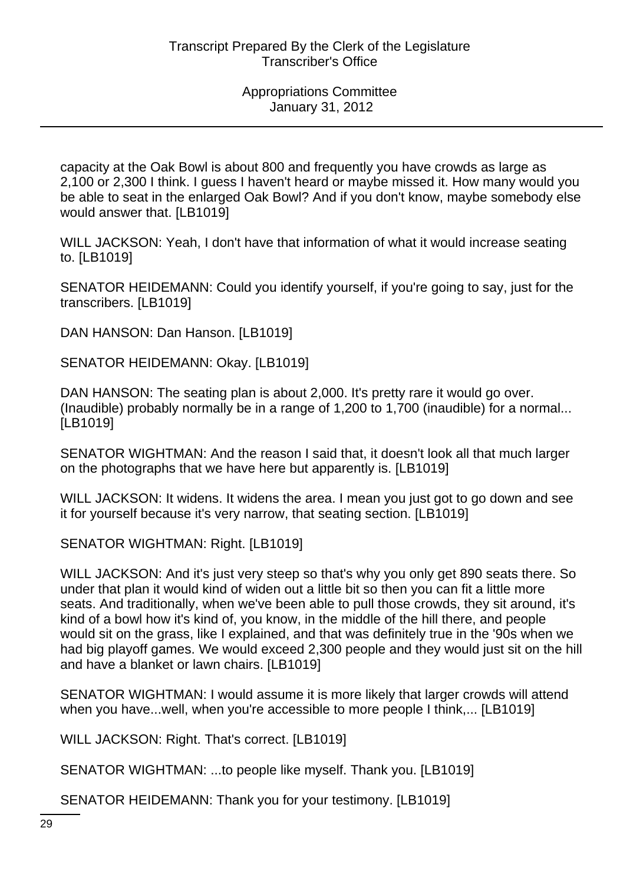capacity at the Oak Bowl is about 800 and frequently you have crowds as large as 2,100 or 2,300 I think. I guess I haven't heard or maybe missed it. How many would you be able to seat in the enlarged Oak Bowl? And if you don't know, maybe somebody else would answer that. [LB1019]

WILL JACKSON: Yeah, I don't have that information of what it would increase seating to. [LB1019]

SENATOR HEIDEMANN: Could you identify yourself, if you're going to say, just for the transcribers. [LB1019]

DAN HANSON: Dan Hanson. [LB1019]

SENATOR HEIDEMANN: Okay. [LB1019]

DAN HANSON: The seating plan is about 2,000. It's pretty rare it would go over. (Inaudible) probably normally be in a range of 1,200 to 1,700 (inaudible) for a normal... [LB1019]

SENATOR WIGHTMAN: And the reason I said that, it doesn't look all that much larger on the photographs that we have here but apparently is. [LB1019]

WILL JACKSON: It widens. It widens the area. I mean you just got to go down and see it for yourself because it's very narrow, that seating section. [LB1019]

SENATOR WIGHTMAN: Right. [LB1019]

WILL JACKSON: And it's just very steep so that's why you only get 890 seats there. So under that plan it would kind of widen out a little bit so then you can fit a little more seats. And traditionally, when we've been able to pull those crowds, they sit around, it's kind of a bowl how it's kind of, you know, in the middle of the hill there, and people would sit on the grass, like I explained, and that was definitely true in the '90s when we had big playoff games. We would exceed 2,300 people and they would just sit on the hill and have a blanket or lawn chairs. [LB1019]

SENATOR WIGHTMAN: I would assume it is more likely that larger crowds will attend when you have...well, when you're accessible to more people I think,... [LB1019]

WILL JACKSON: Right. That's correct. [LB1019]

SENATOR WIGHTMAN: ...to people like myself. Thank you. [LB1019]

SENATOR HEIDEMANN: Thank you for your testimony. [LB1019]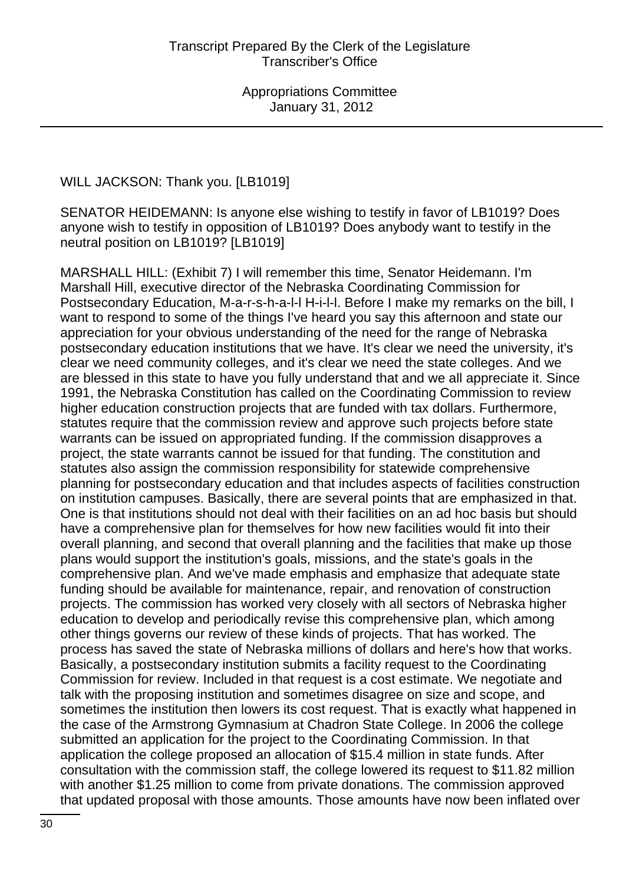WILL JACKSON: Thank you. [LB1019]

SENATOR HEIDEMANN: Is anyone else wishing to testify in favor of LB1019? Does anyone wish to testify in opposition of LB1019? Does anybody want to testify in the neutral position on LB1019? [LB1019]

MARSHALL HILL: (Exhibit 7) I will remember this time, Senator Heidemann. I'm Marshall Hill, executive director of the Nebraska Coordinating Commission for Postsecondary Education, M-a-r-s-h-a-l-l H-i-l-l. Before I make my remarks on the bill, I want to respond to some of the things I've heard you say this afternoon and state our appreciation for your obvious understanding of the need for the range of Nebraska postsecondary education institutions that we have. It's clear we need the university, it's clear we need community colleges, and it's clear we need the state colleges. And we are blessed in this state to have you fully understand that and we all appreciate it. Since 1991, the Nebraska Constitution has called on the Coordinating Commission to review higher education construction projects that are funded with tax dollars. Furthermore, statutes require that the commission review and approve such projects before state warrants can be issued on appropriated funding. If the commission disapproves a project, the state warrants cannot be issued for that funding. The constitution and statutes also assign the commission responsibility for statewide comprehensive planning for postsecondary education and that includes aspects of facilities construction on institution campuses. Basically, there are several points that are emphasized in that. One is that institutions should not deal with their facilities on an ad hoc basis but should have a comprehensive plan for themselves for how new facilities would fit into their overall planning, and second that overall planning and the facilities that make up those plans would support the institution's goals, missions, and the state's goals in the comprehensive plan. And we've made emphasis and emphasize that adequate state funding should be available for maintenance, repair, and renovation of construction projects. The commission has worked very closely with all sectors of Nebraska higher education to develop and periodically revise this comprehensive plan, which among other things governs our review of these kinds of projects. That has worked. The process has saved the state of Nebraska millions of dollars and here's how that works. Basically, a postsecondary institution submits a facility request to the Coordinating Commission for review. Included in that request is a cost estimate. We negotiate and talk with the proposing institution and sometimes disagree on size and scope, and sometimes the institution then lowers its cost request. That is exactly what happened in the case of the Armstrong Gymnasium at Chadron State College. In 2006 the college submitted an application for the project to the Coordinating Commission. In that application the college proposed an allocation of \$15.4 million in state funds. After consultation with the commission staff, the college lowered its request to \$11.82 million with another \$1.25 million to come from private donations. The commission approved that updated proposal with those amounts. Those amounts have now been inflated over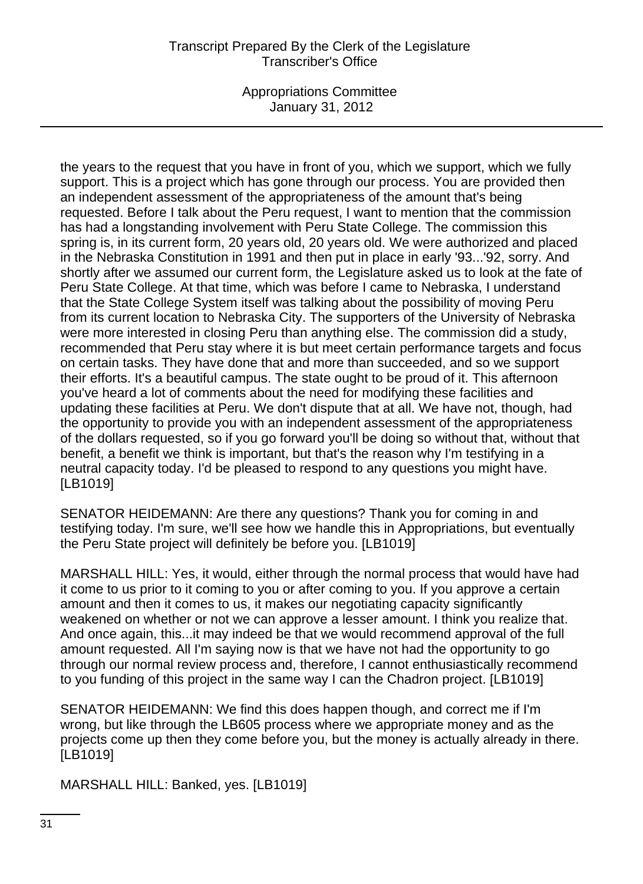Appropriations Committee January 31, 2012

the years to the request that you have in front of you, which we support, which we fully support. This is a project which has gone through our process. You are provided then an independent assessment of the appropriateness of the amount that's being requested. Before I talk about the Peru request, I want to mention that the commission has had a longstanding involvement with Peru State College. The commission this spring is, in its current form, 20 years old, 20 years old. We were authorized and placed in the Nebraska Constitution in 1991 and then put in place in early '93...'92, sorry. And shortly after we assumed our current form, the Legislature asked us to look at the fate of Peru State College. At that time, which was before I came to Nebraska, I understand that the State College System itself was talking about the possibility of moving Peru from its current location to Nebraska City. The supporters of the University of Nebraska were more interested in closing Peru than anything else. The commission did a study, recommended that Peru stay where it is but meet certain performance targets and focus on certain tasks. They have done that and more than succeeded, and so we support their efforts. It's a beautiful campus. The state ought to be proud of it. This afternoon you've heard a lot of comments about the need for modifying these facilities and updating these facilities at Peru. We don't dispute that at all. We have not, though, had the opportunity to provide you with an independent assessment of the appropriateness of the dollars requested, so if you go forward you'll be doing so without that, without that benefit, a benefit we think is important, but that's the reason why I'm testifying in a neutral capacity today. I'd be pleased to respond to any questions you might have. [LB1019]

SENATOR HEIDEMANN: Are there any questions? Thank you for coming in and testifying today. I'm sure, we'll see how we handle this in Appropriations, but eventually the Peru State project will definitely be before you. [LB1019]

MARSHALL HILL: Yes, it would, either through the normal process that would have had it come to us prior to it coming to you or after coming to you. If you approve a certain amount and then it comes to us, it makes our negotiating capacity significantly weakened on whether or not we can approve a lesser amount. I think you realize that. And once again, this...it may indeed be that we would recommend approval of the full amount requested. All I'm saying now is that we have not had the opportunity to go through our normal review process and, therefore, I cannot enthusiastically recommend to you funding of this project in the same way I can the Chadron project. [LB1019]

SENATOR HEIDEMANN: We find this does happen though, and correct me if I'm wrong, but like through the LB605 process where we appropriate money and as the projects come up then they come before you, but the money is actually already in there. [LB1019]

MARSHALL HILL: Banked, yes. [LB1019]